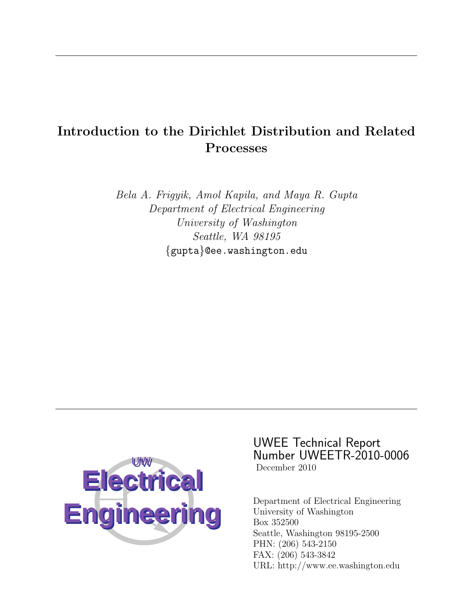# Introduction to the Dirichlet Distribution and Related Processes

Bela A. Frigyik, Amol Kapila, and Maya R. Gupta Department of Electrical Engineering University of Washington Seattle, WA 98195 {gupta}@ee.washington.edu



UWEE Technical Report Number UWEETR-2010-0006 December 2010

Department of Electrical Engineering University of Washington Box 352500 Seattle, Washington 98195-2500 PHN: (206) 543-2150 FAX: (206) 543-3842 URL: http://www.ee.washington.edu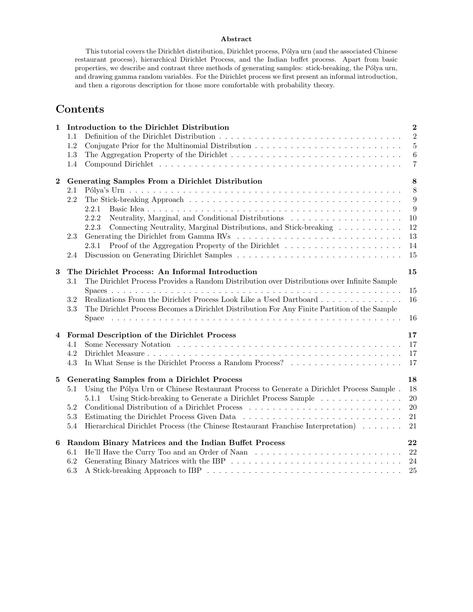### Abstract

This tutorial covers the Dirichlet distribution, Dirichlet process, Pólya urn (and the associated Chinese restaurant process), hierarchical Dirichlet Process, and the Indian buffet process. Apart from basic properties, we describe and contrast three methods of generating samples: stick-breaking, the Pólya urn, and drawing gamma random variables. For the Dirichlet process we first present an informal introduction, and then a rigorous description for those more comfortable with probability theory.

# Contents

| $\mathbf 1$             | Introduction to the Dirichlet Distribution                                                               |  |                |  |  |
|-------------------------|----------------------------------------------------------------------------------------------------------|--|----------------|--|--|
|                         | 1.1                                                                                                      |  | $\overline{2}$ |  |  |
|                         | 1.2                                                                                                      |  | 5              |  |  |
|                         | 1.3                                                                                                      |  | 6              |  |  |
|                         | 1.4                                                                                                      |  | $\overline{7}$ |  |  |
| $\mathbf{2}$            | Generating Samples From a Dirichlet Distribution                                                         |  | 8              |  |  |
|                         | 2.1                                                                                                      |  | 8              |  |  |
|                         | 2.2                                                                                                      |  | 9              |  |  |
|                         | 2.2.1                                                                                                    |  | 9              |  |  |
|                         | Neutrality, Marginal, and Conditional Distributions<br>2.2.2<br>2.2.3                                    |  | 10<br>12       |  |  |
|                         | Connecting Neutrality, Marginal Distributions, and Stick-breaking<br>2.3                                 |  | 13             |  |  |
|                         | 2.3.1                                                                                                    |  | 14             |  |  |
|                         | 2.4                                                                                                      |  | 15             |  |  |
|                         |                                                                                                          |  |                |  |  |
| 3                       | The Dirichlet Process: An Informal Introduction                                                          |  | 15             |  |  |
|                         | The Dirichlet Process Provides a Random Distribution over Distributions over Infinite Sample<br>3.1      |  |                |  |  |
|                         | Realizations From the Dirichlet Process Look Like a Used Dartboard<br>3.2                                |  | 15<br>16       |  |  |
|                         | $3.3\,$<br>The Dirichlet Process Becomes a Dirichlet Distribution For Any Finite Partition of the Sample |  |                |  |  |
|                         |                                                                                                          |  | 16             |  |  |
|                         |                                                                                                          |  |                |  |  |
| $\overline{\mathbf{4}}$ | Formal Description of the Dirichlet Process                                                              |  | 17             |  |  |
|                         | 4.1                                                                                                      |  | 17             |  |  |
|                         | 4.2                                                                                                      |  | 17             |  |  |
|                         | 4.3<br>In What Sense is the Dirichlet Process a Random Process?                                          |  | 17             |  |  |
|                         | <b>Generating Samples from a Dirichlet Process</b><br>5                                                  |  | 18             |  |  |
|                         | Using the Pólya Urn or Chinese Restaurant Process to Generate a Dirichlet Process Sample.<br>5.1         |  | 18             |  |  |
|                         | 5.1.1 Using Stick-breaking to Generate a Dirichlet Process Sample                                        |  | 20             |  |  |
|                         | 5.2                                                                                                      |  | 20             |  |  |
|                         | 5.3                                                                                                      |  | 21             |  |  |
|                         | Hierarchical Dirichlet Process (the Chinese Restaurant Franchise Interpretation)<br>5.4                  |  | 21             |  |  |
| 6                       | Random Binary Matrices and the Indian Buffet Process                                                     |  | 22             |  |  |
|                         | 6.1                                                                                                      |  |                |  |  |
|                         | 6.2                                                                                                      |  |                |  |  |
|                         | 6.3                                                                                                      |  | 25             |  |  |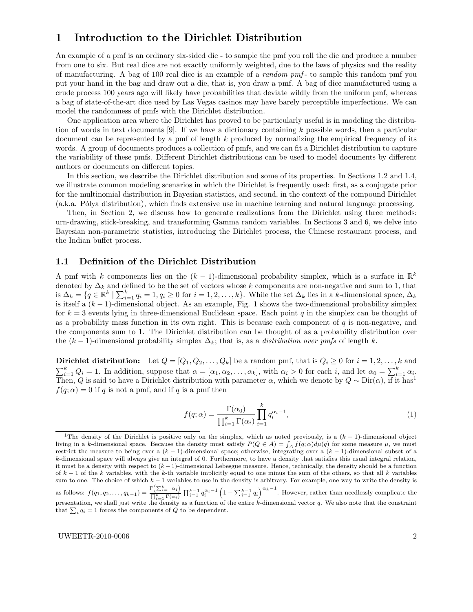# 1 Introduction to the Dirichlet Distribution

An example of a pmf is an ordinary six-sided die - to sample the pmf you roll the die and produce a number from one to six. But real dice are not exactly uniformly weighted, due to the laws of physics and the reality of manufacturing. A bag of 100 real dice is an example of a random pmf - to sample this random pmf you put your hand in the bag and draw out a die, that is, you draw a pmf. A bag of dice manufactured using a crude process 100 years ago will likely have probabilities that deviate wildly from the uniform pmf, whereas a bag of state-of-the-art dice used by Las Vegas casinos may have barely perceptible imperfections. We can model the randomness of pmfs with the Dirichlet distribution.

One application area where the Dirichlet has proved to be particularly useful is in modeling the distribution of words in text documents [9]. If we have a dictionary containing k possible words, then a particular document can be represented by a pmf of length k produced by normalizing the empirical frequency of its words. A group of documents produces a collection of pmfs, and we can fit a Dirichlet distribution to capture the variability of these pmfs. Different Dirichlet distributions can be used to model documents by different authors or documents on different topics.

In this section, we describe the Dirichlet distribution and some of its properties. In Sections 1.2 and 1.4, we illustrate common modeling scenarios in which the Dirichlet is frequently used: first, as a conjugate prior for the multinomial distribution in Bayesian statistics, and second, in the context of the compound Dirichlet (a.k.a. P´olya distribution), which finds extensive use in machine learning and natural language processing.

Then, in Section 2, we discuss how to generate realizations from the Dirichlet using three methods: urn-drawing, stick-breaking, and transforming Gamma random variables. In Sections 3 and 6, we delve into Bayesian non-parametric statistics, introducing the Dirichlet process, the Chinese restaurant process, and the Indian buffet process.

### 1.1 Definition of the Dirichlet Distribution

A pmf with k components lies on the  $(k-1)$ -dimensional probability simplex, which is a surface in  $\mathbb{R}^k$ denoted by  $\Delta_k$  and defined to be the set of vectors whose k components are non-negative and sum to 1, that is  $\Delta_k = \{q \in \mathbb{R}^k \mid \sum_{i=1}^k q_i = 1, q_i \ge 0 \text{ for } i = 1, 2, \dots, k\}.$  While the set  $\Delta_k$  lies in a k-dimensional space,  $\Delta_k$ is itself a  $(k-1)$ -dimensional object. As an example, Fig. 1 shows the two-dimensional probability simplex for  $k = 3$  events lying in three-dimensional Euclidean space. Each point q in the simplex can be thought of as a probability mass function in its own right. This is because each component of  $q$  is non-negative, and the components sum to 1. The Dirichlet distribution can be thought of as a probability distribution over the  $(k-1)$ -dimensional probability simplex  $\Delta_k$ ; that is, as a *distribution over pmfs* of length k.

Dirichlet distribution: Let  $Q = [Q_1, Q_2, \ldots, Q_k]$  be a random pmf, that is  $Q_i \geq 0$  for  $i = 1, 2, \ldots, k$  and  $\sum_{i=1}^{k} Q_i = 1$ . In addition, suppose that  $\alpha = [\alpha_1, \alpha_2, \ldots, \alpha_k]$ , with  $\alpha_i > 0$  for each i, and let  $\alpha_0 = \sum_{i=1}^{k} \alpha_i$ . Then, Q is said to have a Dirichlet distribution with parameter  $\alpha$ , which we denote by  $Q \sim Dir(\alpha)$ , if it has<sup>1</sup>  $f(q; \alpha) = 0$  if q is not a pmf, and if q is a pmf then

$$
f(q; \alpha) = \frac{\Gamma(\alpha_0)}{\prod_{i=1}^k \Gamma(\alpha_i)} \prod_{i=1}^k q_i^{\alpha_i - 1},
$$
\n(1)

<sup>&</sup>lt;sup>1</sup>The density of the Dirichlet is positive only on the simplex, which as noted previously, is a  $(k-1)$ -dimensional object living in a k-dimensional space. Because the density must satisfy  $P(Q \in A) = \int_A f(q; \alpha) d\mu(q)$  for some measure  $\mu$ , we must restrict the measure to being over a  $(k-1)$ -dimensional space; otherwise, integrating over a  $(k-1)$ -dimensional subset of a k-dimensional space will always give an integral of 0. Furthermore, to have a density that satisfies this usual integral relation, it must be a density with respect to  $(k-1)$ -dimensional Lebesgue measure. Hence, technically, the density should be a function of  $k-1$  of the k variables, with the k-th variable implicitly equal to one minus the sum of the others, so that all k variables sum to one. The choice of which  $k - 1$  variables to use in the density is arbitrary. For example, one way to write the density is as follows:  $f(q_1, q_2, \ldots, q_{k-1}) = \frac{\Gamma\left(\sum_{i=1}^k \alpha_i\right)}{\prod_{i=1}^k \Gamma\left(\alpha_i\right)}$  $\frac{\Gamma(\sum_{i=1}^{k} \alpha_i)}{\prod_{i=1}^{k} \Gamma(\alpha_i)} \prod_{i=1}^{k-1} q_i^{\alpha_i-1} \left(1 - \sum_{i=1}^{k-1} q_i\right)^{\alpha_k-1}$ . However, rather than needlessly complicate the presentation, we shall just write the density as a function of the entire  $k$ -dimensional vector  $q$ . We also note that the constraint that  $\sum_i q_i = 1$  forces the components of Q to be dependent.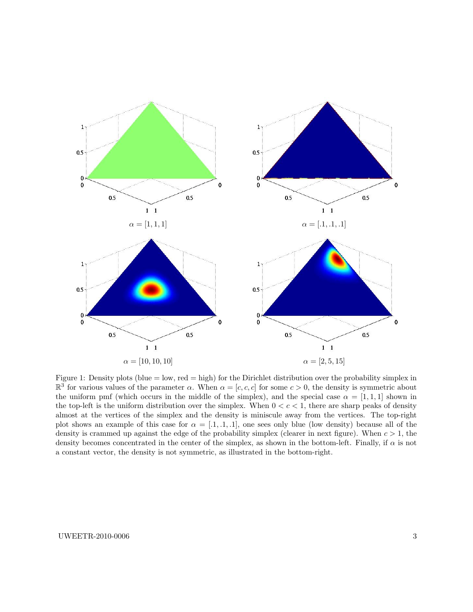

Figure 1: Density plots (blue = low, red = high) for the Dirichlet distribution over the probability simplex in  $\mathbb{R}^3$  for various values of the parameter  $\alpha$ . When  $\alpha = [c, c, c]$  for some  $c > 0$ , the density is symmetric about the uniform pmf (which occurs in the middle of the simplex), and the special case  $\alpha = [1, 1, 1]$  shown in the top-left is the uniform distribution over the simplex. When  $0 < c < 1$ , there are sharp peaks of density almost at the vertices of the simplex and the density is miniscule away from the vertices. The top-right plot shows an example of this case for  $\alpha = [.1, .1, .1]$ , one sees only blue (low density) because all of the density is crammed up against the edge of the probability simplex (clearer in next figure). When  $c > 1$ , the density becomes concentrated in the center of the simplex, as shown in the bottom-left. Finally, if  $\alpha$  is not a constant vector, the density is not symmetric, as illustrated in the bottom-right.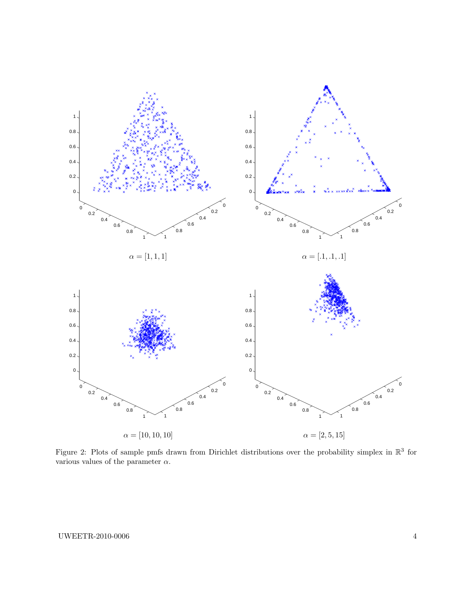

Figure 2: Plots of sample pmfs drawn from Dirichlet distributions over the probability simplex in  $\mathbb{R}^3$  for various values of the parameter  $\alpha$ .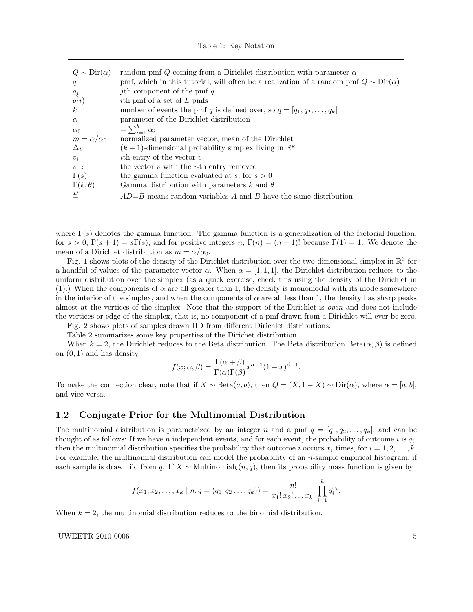|  |  |  |  | Table 1: Key Notation |
|--|--|--|--|-----------------------|
|--|--|--|--|-----------------------|

| $Q \sim \text{Dir}(\alpha)$ | random pmf $Q$ coming from a Dirichlet distribution with parameter $\alpha$                   |
|-----------------------------|-----------------------------------------------------------------------------------------------|
| q                           | pmf, which in this tutorial, will often be a realization of a random pmf $Q \sim Dir(\alpha)$ |
| $q_j$                       | <i>j</i> th component of the pmf $q$                                                          |
| q(i)                        | <i>i</i> th pmf of a set of L pmfs                                                            |
| $\kappa$                    | number of events the pmf q is defined over, so $q = [q_1, q_2, \ldots, q_k]$                  |
| $\alpha$                    | parameter of the Dirichlet distribution                                                       |
| $\alpha_0$                  | $=\sum_{i=1}^k \alpha_i$                                                                      |
| $m = \alpha/\alpha_0$       | normalized parameter vector, mean of the Dirichlet                                            |
| $\Delta_k$                  | $(k-1)$ -dimensional probability simplex living in $\mathbb{R}^k$                             |
| $v_i$                       | <i>i</i> th entry of the vector $v$                                                           |
| $v_{-i}$                    | the vector $v$ with the <i>i</i> -th entry removed                                            |
| $\Gamma(s)$                 | the gamma function evaluated at s, for $s > 0$                                                |
| $\Gamma(k,\theta)$          | Gamma distribution with parameters k and $\theta$                                             |
| $\frac{D}{2}$               | $AD=B$ means random variables A and B have the same distribution                              |
|                             |                                                                                               |

where  $\Gamma(s)$  denotes the gamma function. The gamma function is a generalization of the factorial function: for  $s > 0$ ,  $\Gamma(s + 1) = s\Gamma(s)$ , and for positive integers n,  $\Gamma(n) = (n - 1)!$  because  $\Gamma(1) = 1$ . We denote the mean of a Dirichlet distribution as  $m = \alpha/\alpha_0$ .

Fig. 1 shows plots of the density of the Dirichlet distribution over the two-dimensional simplex in  $\mathbb{R}^3$  for a handful of values of the parameter vector  $\alpha$ . When  $\alpha = [1, 1, 1]$ , the Dirichlet distribution reduces to the uniform distribution over the simplex (as a quick exercise, check this using the density of the Dirichlet in (1).) When the components of  $\alpha$  are all greater than 1, the density is monomodal with its mode somewhere in the interior of the simplex, and when the components of  $\alpha$  are all less than 1, the density has sharp peaks almost at the vertices of the simplex. Note that the support of the Dirichlet is open and does not include the vertices or edge of the simplex, that is, no component of a pmf drawn from a Dirichlet will ever be zero.

Fig. 2 shows plots of samples drawn IID from different Dirichlet distributions.

Table 2 summarizes some key properties of the Dirichet distribution.

When  $k = 2$ , the Dirichlet reduces to the Beta distribution. The Beta distribution Beta $(\alpha, \beta)$  is defined on  $(0, 1)$  and has density

$$
f(x; \alpha, \beta) = \frac{\Gamma(\alpha + \beta)}{\Gamma(\alpha)\Gamma(\beta)} x^{\alpha - 1} (1 - x)^{\beta - 1}.
$$

To make the connection clear, note that if  $X \sim \text{Beta}(a, b)$ , then  $Q = (X, 1 - X) \sim \text{Dir}(\alpha)$ , where  $\alpha = [a, b]$ , and vice versa.

### 1.2 Conjugate Prior for the Multinomial Distribution

The multinomial distribution is parametrized by an integer n and a pmf  $q = [q_1, q_2, \ldots, q_k]$ , and can be thought of as follows: If we have n independent events, and for each event, the probability of outcome i is  $q_i$ , then the multinomial distribution specifies the probability that outcome i occurs  $x_i$  times, for  $i = 1, 2, \ldots, k$ . For example, the multinomial distribution can model the probability of an  $n$ -sample empirical histogram, if each sample is drawn iid from q. If  $X \sim \text{Multinomial}_k(n, q)$ , then its probability mass function is given by

$$
f(x_1, x_2, \ldots, x_k \mid n, q = (q_1, q_2 \ldots, q_k)) = \frac{n!}{x_1! \, x_2! \ldots x_k!} \prod_{i=1}^k q_i^{x_i}.
$$

When  $k = 2$ , the multinomial distribution reduces to the binomial distribution.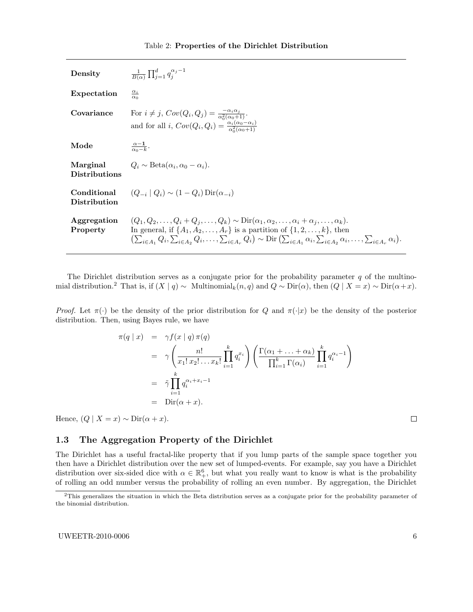| Density                          | $\frac{1}{B(\alpha)} \prod_{i=1}^d q_i^{\alpha_j-1}$                                                                                                                                                                                                                                                                                                                                                                                    |
|----------------------------------|-----------------------------------------------------------------------------------------------------------------------------------------------------------------------------------------------------------------------------------------------------------------------------------------------------------------------------------------------------------------------------------------------------------------------------------------|
| Expectation                      | $\frac{\alpha_i}{\alpha_0}$                                                                                                                                                                                                                                                                                                                                                                                                             |
| Covariance                       | For $i \neq j$ , $Cov(Q_i, Q_j) = \frac{-\alpha_i \alpha_j}{\alpha_0^2(\alpha_0+1)}$ .<br>and for all i, $Cov(Q_i, Q_i) = \frac{\alpha_i(\alpha_0 - \alpha_i)}{\alpha_i^2(\alpha_0 + 1)}$                                                                                                                                                                                                                                               |
| Mode                             | $\frac{\alpha-1}{\alpha_0-k}$ .                                                                                                                                                                                                                                                                                                                                                                                                         |
| Marginal<br><b>Distributions</b> | $Q_i \sim \text{Beta}(\alpha_i, \alpha_0 - \alpha_i).$                                                                                                                                                                                                                                                                                                                                                                                  |
| Conditional<br>Distribution      | $(Q_{-i}   Q_i) \sim (1 - Q_i) \text{Dir}(\alpha_{-i})$                                                                                                                                                                                                                                                                                                                                                                                 |
| Aggregation<br>Property          | $(Q_1, Q_2, \ldots, Q_i + Q_j, \ldots, Q_k) \sim \text{Dir}(\alpha_1, \alpha_2, \ldots, \alpha_i + \alpha_j, \ldots, \alpha_k).$<br>In general, if $\{A_1, A_2, \ldots, A_r\}$ is a partition of $\{1, 2, \ldots, k\}$ , then<br>$\left(\sum_{i\in A_1} Q_i, \sum_{i\in A_2} Q_i, \ldots, \sum_{i\in A_n} Q_i\right) \sim \text{Dir}\left(\sum_{i\in A_1} \alpha_i, \sum_{i\in A_2} \alpha_i, \ldots, \sum_{i\in A_n} \alpha_i\right).$ |

The Dirichlet distribution serves as a conjugate prior for the probability parameter  $q$  of the multinomial distribution.<sup>2</sup> That is, if  $(X | q) \sim$  Multinomial<sub>k</sub> $(n,q)$  and  $Q \sim$  Dir $(\alpha)$ , then  $(Q | X = x) \sim$  Dir $(\alpha + x)$ .

Proof. Let  $\pi(\cdot)$  be the density of the prior distribution for Q and  $\pi(\cdot|x)$  be the density of the posterior distribution. Then, using Bayes rule, we have

$$
\pi(q \mid x) = \gamma f(x \mid q) \pi(q)
$$
\n
$$
= \gamma \left( \frac{n!}{x_1! \, x_2! \dots x_k!} \prod_{i=1}^k q_i^{x_i} \right) \left( \frac{\Gamma(\alpha_1 + \dots + \alpha_k)}{\prod_{i=1}^k \Gamma(\alpha_i)} \prod_{i=1}^k q_i^{\alpha_i - 1} \right)
$$
\n
$$
= \tilde{\gamma} \prod_{i=1}^k q_i^{\alpha_i + x_i - 1}
$$
\n
$$
= \text{Dir}(\alpha + x).
$$

Hence,  $(Q \mid X = x) \sim \text{Dir}(\alpha + x)$ .

 $\Box$ 

# 1.3 The Aggregation Property of the Dirichlet

The Dirichlet has a useful fractal-like property that if you lump parts of the sample space together you then have a Dirichlet distribution over the new set of lumped-events. For example, say you have a Dirichlet distribution over six-sided dice with  $\alpha \in \mathbb{R}^6_+$ , but what you really want to know is what is the probability of rolling an odd number versus the probability of rolling an even number. By aggregation, the Dirichlet

<sup>&</sup>lt;sup>2</sup>This generalizes the situation in which the Beta distribution serves as a conjugate prior for the probability parameter of the binomial distribution.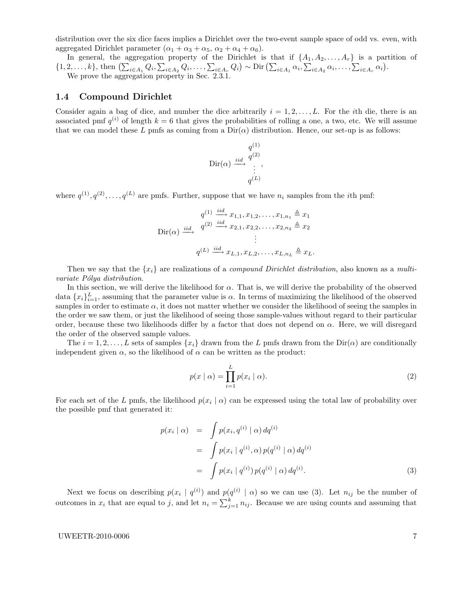distribution over the six dice faces implies a Dirichlet over the two-event sample space of odd vs. even, with aggregated Dirichlet parameter  $(\alpha_1 + \alpha_3 + \alpha_5, \alpha_2 + \alpha_4 + \alpha_6).$ 

In general, the aggregation property of the Dirichlet is that if  $\{A_1, A_2, \ldots, A_r\}$  is a partition of  $\{1, 2, \ldots, k\},\$  then  $\left(\sum_{i\in A_1} Q_i, \sum_{i\in A_2} Q_i, \ldots, \sum_{i\in A_r} Q_i\right) \sim \text{Dir}\left(\sum_{i\in A_1} \alpha_i, \sum_{i\in A_2} \alpha_i, \ldots, \sum_{i\in A_r} \alpha_i\right).$ We prove the aggregation property in Sec. 2.3.1.

### 1.4 Compound Dirichlet

Consider again a bag of dice, and number the dice arbitrarily  $i = 1, 2, \ldots, L$ . For the *i*th die, there is an associated pmf  $q^{(i)}$  of length  $k = 6$  that gives the probabilities of rolling a one, a two, etc. We will assume that we can model these L pmfs as coming from a  $Dir(\alpha)$  distribution. Hence, our set-up is as follows:

$$
\text{Dir}(\alpha) \xrightarrow{id} \begin{array}{c} q^{(1)} \\ q^{(2)} \\ \vdots \\ q^{(L)} \end{array}
$$

where  $q^{(1)}, q^{(2)}, \ldots, q^{(L)}$  are pmfs. Further, suppose that we have  $n_i$  samples from the *i*th pmf:

$$
q^{(1)} \xrightarrow{\text{iid}} x_{1,1}, x_{1,2}, \dots, x_{1,n_1} \triangleq x_1
$$
  
\n
$$
\text{Dir}(\alpha) \xrightarrow{\text{iid}} q^{(2)} \xrightarrow{\text{iid}} x_{2,1}, x_{2,2}, \dots, x_{2,n_2} \triangleq x_2
$$
  
\n
$$
\vdots
$$
  
\n
$$
q^{(L)} \xrightarrow{\text{iid}} x_{L,1}, x_{L,2}, \dots, x_{L,n_L} \triangleq x_L.
$$

Then we say that the  $\{x_i\}$  are realizations of a *compound Dirichlet distribution*, also known as a *multi*variate Pólya distribution.

In this section, we will derive the likelihood for  $\alpha$ . That is, we will derive the probability of the observed data  ${x_i}_{i=1}^L$ , assuming that the parameter value is  $\alpha$ . In terms of maximizing the likelihood of the observed samples in order to estimate  $\alpha$ , it does not matter whether we consider the likelihood of seeing the samples in the order we saw them, or just the likelihood of seeing those sample-values without regard to their particular order, because these two likelihoods differ by a factor that does not depend on  $\alpha$ . Here, we will disregard the order of the observed sample values.

The  $i = 1, 2, \ldots, L$  sets of samples  $\{x_i\}$  drawn from the L pmfs drawn from the Dir( $\alpha$ ) are conditionally independent given  $\alpha$ , so the likelihood of  $\alpha$  can be written as the product:

$$
p(x \mid \alpha) = \prod_{i=1}^{L} p(x_i \mid \alpha). \tag{2}
$$

For each set of the L pmfs, the likelihood  $p(x_i | \alpha)$  can be expressed using the total law of probability over the possible pmf that generated it:

$$
p(x_i | \alpha) = \int p(x_i, q^{(i)} | \alpha) dq^{(i)}
$$
  
= 
$$
\int p(x_i | q^{(i)}, \alpha) p(q^{(i)} | \alpha) dq^{(i)}
$$
  
= 
$$
\int p(x_i | q^{(i)}) p(q^{(i)} | \alpha) dq^{(i)}.
$$
 (3)

Next we focus on describing  $p(x_i | q^{(i)})$  and  $p(q^{(i)} | \alpha)$  so we can use (3). Let  $n_{ij}$  be the number of outcomes in  $x_i$  that are equal to j, and let  $n_i = \sum_{j=1}^k n_{ij}$ . Because we are using counts and assuming that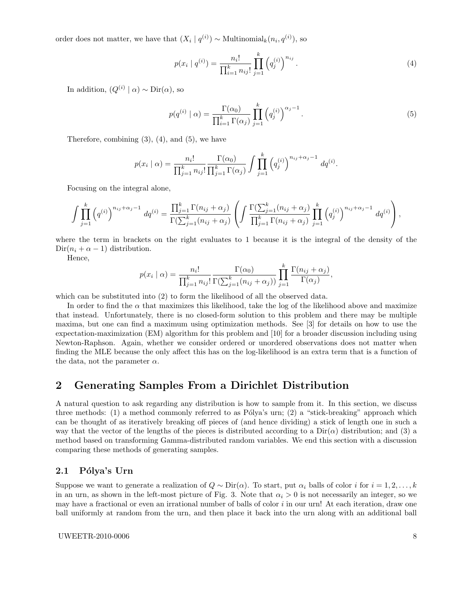order does not matter, we have that  $(X_i | q^{(i)}) \sim \text{Multinomial}_k(n_i, q^{(i)})$ , so

$$
p(x_i \mid q^{(i)}) = \frac{n_i!}{\prod_{i=1}^k n_{ij}!} \prod_{j=1}^k \left( q_j^{(i)} \right)^{n_{ij}}.
$$
\n
$$
(4)
$$

In addition,  $(Q^{(i)} | \alpha) \sim \text{Dir}(\alpha)$ , so

$$
p(q^{(i)} \mid \alpha) = \frac{\Gamma(\alpha_0)}{\prod_{i=1}^k \Gamma(\alpha_i)} \prod_{j=1}^k \left(q_j^{(i)}\right)^{\alpha_j - 1}.
$$
\n
$$
(5)
$$

Therefore, combining  $(3)$ ,  $(4)$ , and  $(5)$ , we have

$$
p(x_i | \alpha) = \frac{n_i!}{\prod_{j=1}^k n_{ij}!} \frac{\Gamma(\alpha_0)}{\prod_{j=1}^k \Gamma(\alpha_j)} \int \prod_{j=1}^k (q_j^{(i)})^{n_{ij} + \alpha_j - 1} dq^{(i)}.
$$

Focusing on the integral alone,

$$
\int \prod_{j=1}^k (q^{(i)})^{n_{ij}+\alpha_j-1} dq^{(i)} = \frac{\prod_{j=1}^k \Gamma(n_{ij}+\alpha_j)}{\Gamma(\sum_{j=1}^k (n_{ij}+\alpha_j))} \left( \int \frac{\Gamma(\sum_{j=1}^k (n_{ij}+\alpha_j))}{\prod_{j=1}^k \Gamma(n_{ij}+\alpha_j)} \prod_{j=1}^k (q^{(i)}_j)^{n_{ij}+\alpha_j-1} dq^{(i)} \right),
$$

where the term in brackets on the right evaluates to 1 because it is the integral of the density of the  $\text{Dir}(n_i + \alpha - 1)$  distribution.

Hence,

$$
p(x_i | \alpha) = \frac{n_i!}{\prod_{j=1}^k n_{ij}!} \frac{\Gamma(\alpha_0)}{\Gamma(\sum_{j=1}^k (n_{ij} + \alpha_j))} \prod_{j=1}^k \frac{\Gamma(n_{ij} + \alpha_j)}{\Gamma(\alpha_j)},
$$

which can be substituted into (2) to form the likelihood of all the observed data.

In order to find the  $\alpha$  that maximizes this likelihood, take the log of the likelihood above and maximize that instead. Unfortunately, there is no closed-form solution to this problem and there may be multiple maxima, but one can find a maximum using optimization methods. See [3] for details on how to use the expectation-maximization (EM) algorithm for this problem and [10] for a broader discussion including using Newton-Raphson. Again, whether we consider ordered or unordered observations does not matter when finding the MLE because the only affect this has on the log-likelihood is an extra term that is a function of the data, not the parameter  $\alpha$ .

# 2 Generating Samples From a Dirichlet Distribution

A natural question to ask regarding any distribution is how to sample from it. In this section, we discuss three methods: (1) a method commonly referred to as Pólya's urn; (2) a "stick-breaking" approach which can be thought of as iteratively breaking off pieces of (and hence dividing) a stick of length one in such a way that the vector of the lengths of the pieces is distributed according to a  $Dir(\alpha)$  distribution; and (3) a method based on transforming Gamma-distributed random variables. We end this section with a discussion comparing these methods of generating samples.

### 2.1 Pólya's Urn

Suppose we want to generate a realization of  $Q \sim \text{Dir}(\alpha)$ . To start, put  $\alpha_i$  balls of color i for  $i = 1, 2, ..., k$ in an urn, as shown in the left-most picture of Fig. 3. Note that  $\alpha_i > 0$  is not necessarily an integer, so we may have a fractional or even an irrational number of balls of color i in our urn! At each iteration, draw one ball uniformly at random from the urn, and then place it back into the urn along with an additional ball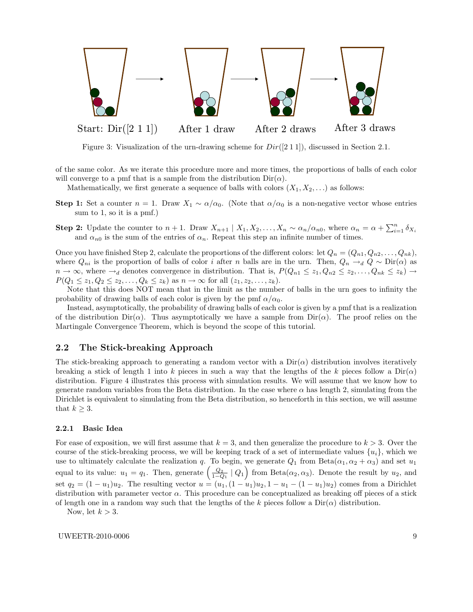

Figure 3: Visualization of the urn-drawing scheme for  $Dir([2 1 1])$ , discussed in Section 2.1.

of the same color. As we iterate this procedure more and more times, the proportions of balls of each color will converge to a pmf that is a sample from the distribution  $Dir(\alpha)$ .

Mathematically, we first generate a sequence of balls with colors  $(X_1, X_2, \ldots)$  as follows:

- **Step 1:** Set a counter  $n = 1$ . Draw  $X_1 \sim \alpha/\alpha_0$ . (Note that  $\alpha/\alpha_0$  is a non-negative vector whose entries sum to 1, so it is a pmf.)
- **Step 2:** Update the counter to  $n + 1$ . Draw  $X_{n+1} | X_1, X_2, \ldots, X_n \sim \alpha_n / \alpha_{n0}$ , where  $\alpha_n = \alpha + \sum_{i=1}^n \delta_{X_i}$ and  $\alpha_{n0}$  is the sum of the entries of  $\alpha_n$ . Repeat this step an infinite number of times.

Once you have finished Step 2, calculate the proportions of the different colors: let  $Q_n = (Q_{n1}, Q_{n2}, \ldots, Q_{nk}),$ where  $Q_{ni}$  is the proportion of balls of color i after n balls are in the urn. Then,  $Q_n \rightarrow_d Q \sim \text{Dir}(\alpha)$  as  $n \to \infty$ , where  $\to_d$  denotes convergence in distribution. That is,  $P(Q_{n1} \leq z_1, Q_{n2} \leq z_2, \ldots, Q_{nk} \leq z_k) \to$  $P(Q_1 \leq z_1, Q_2 \leq z_2, \ldots, Q_k \leq z_k)$  as  $n \to \infty$  for all  $(z_1, z_2, \ldots, z_k)$ .

Note that this does NOT mean that in the limit as the number of balls in the urn goes to infinity the probability of drawing balls of each color is given by the pmf  $\alpha/\alpha_0$ .

Instead, asymptotically, the probability of drawing balls of each color is given by a pmf that is a realization of the distribution  $Dir(\alpha)$ . Thus asymptotically we have a sample from  $Dir(\alpha)$ . The proof relies on the Martingale Convergence Theorem, which is beyond the scope of this tutorial.

### 2.2 The Stick-breaking Approach

The stick-breaking approach to generating a random vector with a  $Dir(\alpha)$  distribution involves iteratively breaking a stick of length 1 into k pieces in such a way that the lengths of the k pieces follow a  $Dir(\alpha)$ distribution. Figure 4 illustrates this process with simulation results. We will assume that we know how to generate random variables from the Beta distribution. In the case where  $\alpha$  has length 2, simulating from the Dirichlet is equivalent to simulating from the Beta distribution, so henceforth in this section, we will assume that  $k \geq 3$ .

#### 2.2.1 Basic Idea

For ease of exposition, we will first assume that  $k = 3$ , and then generalize the procedure to  $k > 3$ . Over the course of the stick-breaking process, we will be keeping track of a set of intermediate values  $\{u_i\}$ , which we use to ultimately calculate the realization q. To begin, we generate  $Q_1$  from  $Beta(\alpha_1, \alpha_2 + \alpha_3)$  and set  $u_1$ equal to its value:  $u_1 = q_1$ . Then, generate  $\left(\frac{Q_2}{1-Q_1} \mid Q_1\right)$  from Beta $(\alpha_2, \alpha_3)$ . Denote the result by  $u_2$ , and set  $q_2 = (1 - u_1)u_2$ . The resulting vector  $u = (u_1, (1 - u_1)u_2, 1 - u_1 - (1 - u_1)u_2)$  comes from a Dirichlet distribution with parameter vector  $\alpha$ . This procedure can be conceptualized as breaking off pieces of a stick of length one in a random way such that the lengths of the k pieces follow a  $Dir(\alpha)$  distribution.

Now, let  $k > 3$ .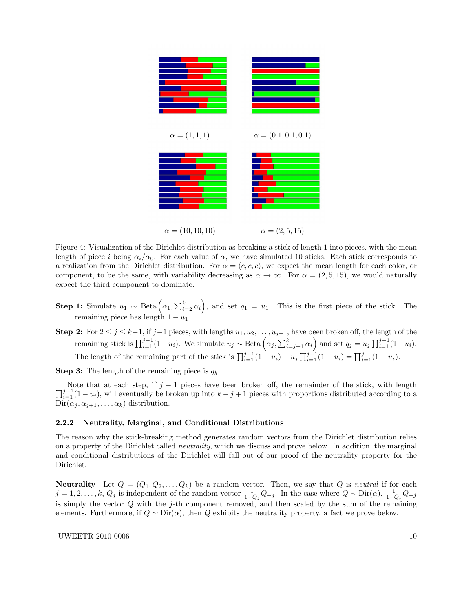

 $\alpha = (10, 10, 10)$   $\alpha = (2, 5, 15)$ 

Figure 4: Visualization of the Dirichlet distribution as breaking a stick of length 1 into pieces, with the mean length of piece i being  $\alpha_i/\alpha_0$ . For each value of  $\alpha$ , we have simulated 10 sticks. Each stick corresponds to a realization from the Dirichlet distribution. For  $\alpha = (c, c, c)$ , we expect the mean length for each color, or component, to be the same, with variability decreasing as  $\alpha \to \infty$ . For  $\alpha = (2, 5, 15)$ , we would naturally expect the third component to dominate.

- **Step 1:** Simulate  $u_1 \sim \text{Beta}(\alpha_1, \sum_{i=2}^k \alpha_i)$ , and set  $q_1 = u_1$ . This is the first piece of the stick. The remaining piece has length  $1 - u_1$ .
- Step 2: For  $2 \le j \le k-1$ , if  $j-1$  pieces, with lengths  $u_1, u_2, \ldots, u_{j-1}$ , have been broken off, the length of the remaining stick is  $\prod_{i=1}^{j-1} (1-u_i)$ . We simulate  $u_j \sim \text{Beta}\left(\alpha_j, \sum_{i=j+1}^k \alpha_i\right)$  and set  $q_j = u_j \prod_{i=1}^{j-1} (1-u_i)$ . The length of the remaining part of the stick is  $\prod_{i=1}^{j-1} (1 - u_i) - u_j \prod_{i=1}^{j-1} (1 - u_i) = \prod_{i=1}^{j} (1 - u_i)$ .

**Step 3:** The length of the remaining piece is  $q_k$ .

 $\prod_{i=1}^{j-1} (1 - u_i)$ , will eventually be broken up into  $k - j + 1$  pieces with proportions distributed according to a Note that at each step, if  $j - 1$  pieces have been broken off, the remainder of the stick, with length  $\text{Dir}(\alpha_j, \alpha_{j+1}, \ldots, \alpha_k)$  distribution.

#### 2.2.2 Neutrality, Marginal, and Conditional Distributions

The reason why the stick-breaking method generates random vectors from the Dirichlet distribution relies on a property of the Dirichlet called neutrality, which we discuss and prove below. In addition, the marginal and conditional distributions of the Dirichlet will fall out of our proof of the neutrality property for the Dirichlet.

**Neutrality** Let  $Q = (Q_1, Q_2, \ldots, Q_k)$  be a random vector. Then, we say that Q is neutral if for each  $j = 1, 2, \ldots, k$ ,  $Q_j$  is independent of the random vector  $\frac{1}{1-Q_j}Q_{-j}$ . In the case where  $Q \sim \text{Dir}(\alpha)$ ,  $\frac{1}{1-Q_j}Q_{-j}$ is simply the vector  $Q$  with the j-th component removed, and then scaled by the sum of the remaining elements. Furthermore, if  $Q \sim \text{Dir}(\alpha)$ , then Q exhibits the neutrality property, a fact we prove below.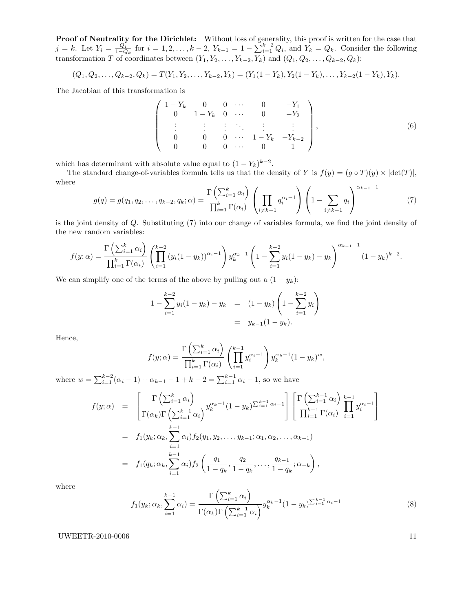**Proof of Neutrality for the Dirichlet:** Without loss of generality, this proof is written for the case that  $j = k$ . Let  $Y_i = \frac{Q_i}{1 - Q_k}$  for  $i = 1, 2, ..., k - 2$ ,  $Y_{k-1} = 1 - \sum_{i=1}^{k-2} Q_i$ , and  $Y_k = Q_k$ . Consider the following transformation T of coordinates between  $(Y_1, Y_2, \ldots, Y_{k-2}, Y_k)$  and  $(Q_1, Q_2, \ldots, Q_{k-2}, Q_k)$ :

$$
(Q_1, Q_2, \ldots, Q_{k-2}, Q_k) = T(Y_1, Y_2, \ldots, Y_{k-2}, Y_k) = (Y_1(1 - Y_k), Y_2(1 - Y_k), \ldots, Y_{k-2}(1 - Y_k), Y_k).
$$

The Jacobian of this transformation is

$$
\begin{pmatrix}\n1 - Y_k & 0 & 0 & \cdots & 0 & -Y_1 \\
0 & 1 - Y_k & 0 & \cdots & 0 & -Y_2 \\
\vdots & \vdots & \vdots & \ddots & \vdots & \vdots \\
0 & 0 & 0 & \cdots & 1 - Y_k & -Y_{k-2} \\
0 & 0 & 0 & \cdots & 0 & 1\n\end{pmatrix},
$$
\n(6)

which has determinant with absolute value equal to  $(1 - Y_k)^{k-2}$ .

The standard change-of-variables formula tells us that the density of Y is  $f(y) = (g \circ T)(y) \times |\text{det}(T)|$ , where

$$
g(q) = g(q_1, q_2, \dots, q_{k-2}, q_k; \alpha) = \frac{\Gamma\left(\sum_{i=1}^k \alpha_i\right)}{\prod_{i=1}^k \Gamma(\alpha_i)} \left(\prod_{i \neq k-1} q_i^{\alpha_i - 1}\right) \left(1 - \sum_{i \neq k-1} q_i\right)^{\alpha_{k-1} - 1} \tag{7}
$$

is the joint density of Q. Substituting (7) into our change of variables formula, we find the joint density of the new random variables:

$$
f(y; \alpha) = \frac{\Gamma\left(\sum_{i=1}^k \alpha_i\right)}{\prod_{i=1}^k \Gamma(\alpha_i)} \left(\prod_{i=1}^{k-2} (y_i(1-y_k))^{\alpha_i-1}\right) y_k^{\alpha_k-1} \left(1 - \sum_{i=1}^{k-2} y_i(1-y_k) - y_k\right)^{\alpha_{k-1}-1} (1-y_k)^{k-2}.
$$

We can simplify one of the terms of the above by pulling out a  $(1 - y_k)$ :

$$
1 - \sum_{i=1}^{k-2} y_i (1 - y_k) - y_k = (1 - y_k) \left( 1 - \sum_{i=1}^{k-2} y_i \right)
$$
  
=  $y_{k-1} (1 - y_k).$ 

Hence,

$$
f(y; \alpha) = \frac{\Gamma\left(\sum_{i=1}^k \alpha_i\right)}{\prod_{i=1}^k \Gamma(\alpha_i)} \left(\prod_{i=1}^{k-1} y_i^{\alpha_i - 1}\right) y_k^{\alpha_k - 1} (1 - y_k)^w,
$$

where  $w = \sum_{i=1}^{k-2} (\alpha_i - 1) + \alpha_{k-1} - 1 + k - 2 = \sum_{i=1}^{k-1} \alpha_i - 1$ , so we have

$$
f(y; \alpha) = \left[ \frac{\Gamma\left(\sum_{i=1}^{k} \alpha_i\right)}{\Gamma(\alpha_k) \Gamma\left(\sum_{i=1}^{k-1} \alpha_i\right)} y_k^{\alpha_k - 1} (1 - y_k)^{\sum_{i=1}^{k-1} \alpha_i - 1} \right] \left[ \frac{\Gamma\left(\sum_{i=1}^{k-1} \alpha_i\right)}{\prod_{i=1}^{k-1} \Gamma(\alpha_i)} \prod_{i=1}^{k-1} y_i^{\alpha_i - 1} \right]
$$
  
=  $f_1(y_k; \alpha_k, \sum_{i=1}^{k-1} \alpha_i) f_2(y_1, y_2, \dots, y_{k-1}; \alpha_1, \alpha_2, \dots, \alpha_{k-1})$   
=  $f_1(q_k; \alpha_k, \sum_{i=1}^{k-1} \alpha_i) f_2\left(\frac{q_1}{1 - q_k}, \frac{q_2}{1 - q_k}, \dots, \frac{q_{k-1}}{1 - q_k}; \alpha_{-k}\right),$ 

where

$$
f_1(y_k; \alpha_k, \sum_{i=1}^{k-1} \alpha_i) = \frac{\Gamma\left(\sum_{i=1}^k \alpha_i\right)}{\Gamma(\alpha_k)\Gamma\left(\sum_{i=1}^{k-1} \alpha_i\right)} y_k^{\alpha_k - 1} (1 - y_k)^{\sum_{i=1}^{k-1} \alpha_i - 1} \tag{8}
$$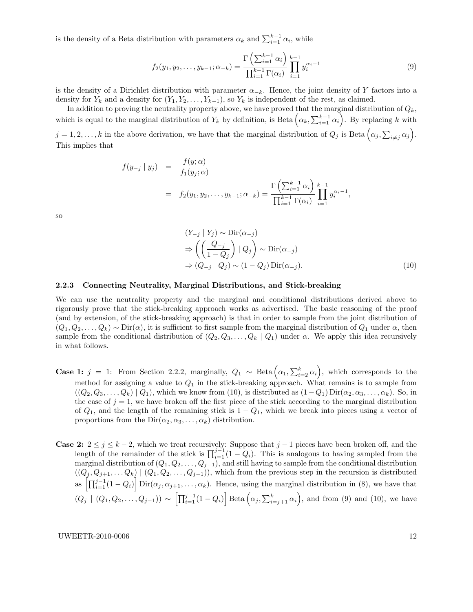is the density of a Beta distribution with parameters  $\alpha_k$  and  $\sum_{i=1}^{k-1} \alpha_i$ , while

$$
f_2(y_1, y_2, \dots, y_{k-1}; \alpha_{-k}) = \frac{\Gamma\left(\sum_{i=1}^{k-1} \alpha_i\right)}{\prod_{i=1}^{k-1} \Gamma(\alpha_i)} \prod_{i=1}^{k-1} y_i^{\alpha_i - 1} \tag{9}
$$

is the density of a Dirichlet distribution with parameter  $\alpha_{-k}$ . Hence, the joint density of Y factors into a density for  $Y_k$  and a density for  $(Y_1, Y_2, \ldots, Y_{k-1})$ , so  $Y_k$  is independent of the rest, as claimed.

In addition to proving the neutrality property above, we have proved that the marginal distribution of  $Q_k$ , which is equal to the marginal distribution of  $Y_k$  by definition, is Beta  $(\alpha_k, \sum_{i=1}^{k-1} \alpha_i)$ . By replacing k with  $j = 1, 2, \ldots, k$  in the above derivation, we have that the marginal distribution of  $Q_j$  is Beta  $(\alpha_j, \sum_{i \neq j} \alpha_j)$ . This implies that

$$
f(y_{-j} | y_j) = \frac{f(y; \alpha)}{f_1(y_j; \alpha)}
$$
  
=  $f_2(y_1, y_2, ..., y_{k-1}; \alpha_{-k}) = \frac{\Gamma\left(\sum_{i=1}^{k-1} \alpha_i\right)}{\prod_{i=1}^{k-1} \Gamma(\alpha_i)} \prod_{i=1}^{k-1} y_i^{\alpha_i - 1},$ 

so

$$
(Y_{-j} | Y_j) \sim \text{Dir}(\alpha_{-j})
$$
  
\n
$$
\Rightarrow \left( \left( \frac{Q_{-j}}{1 - Q_j} \right) | Q_j \right) \sim \text{Dir}(\alpha_{-j})
$$
  
\n
$$
\Rightarrow (Q_{-j} | Q_j) \sim (1 - Q_j) \text{Dir}(\alpha_{-j}).
$$
\n(10)

#### 2.2.3 Connecting Neutrality, Marginal Distributions, and Stick-breaking

We can use the neutrality property and the marginal and conditional distributions derived above to rigorously prove that the stick-breaking approach works as advertised. The basic reasoning of the proof (and by extension, of the stick-breaking approach) is that in order to sample from the joint distribution of  $(Q_1, Q_2, \ldots, Q_k) \sim \text{Dir}(\alpha)$ , it is sufficient to first sample from the marginal distribution of  $Q_1$  under  $\alpha$ , then sample from the conditional distribution of  $(Q_2, Q_3, \ldots, Q_k | Q_1)$  under  $\alpha$ . We apply this idea recursively in what follows.

- **Case 1:** j = 1: From Section 2.2.2, marginally,  $Q_1 \sim \text{Beta}\left(\alpha_1, \sum_{i=2}^k \alpha_i\right)$ , which corresponds to the method for assigning a value to  $Q_1$  in the stick-breaking approach. What remains is to sample from  $((Q_2, Q_3, \ldots, Q_k) | Q_1)$ , which we know from (10), is distributed as  $(1 - Q_1) \operatorname{Dir}(\alpha_2, \alpha_3, \ldots, \alpha_k)$ . So, in the case of  $j = 1$ , we have broken off the first piece of the stick according to the marginal distribution of  $Q_1$ , and the length of the remaining stick is  $1 - Q_1$ , which we break into pieces using a vector of proportions from the  $Dir(\alpha_2, \alpha_3, \ldots, \alpha_k)$  distribution.
- Case 2:  $2 \le j \le k-2$ , which we treat recursively: Suppose that  $j-1$  pieces have been broken off, and the length of the remainder of the stick is  $\prod_{i=1}^{j-1} (1 - Q_i)$ . This is analogous to having sampled from the marginal distribution of  $(Q_1, Q_2, \ldots, Q_{j-1})$ , and still having to sample from the conditional distribution  $((Q_j, Q_{j+1}, \ldots Q_k) \mid (Q_1, Q_2, \ldots, Q_{j-1}))$ , which from the previous step in the recursion is distributed as  $\left[\prod_{i=1}^{j-1} (1 - Q_i)\right]$  Dir $(\alpha_j, \alpha_{j+1}, \ldots, \alpha_k)$ . Hence, using the marginal distribution in (8), we have that  $(Q_j \mid (Q_1, Q_2, \ldots, Q_{j-1})) \sim \left[ \prod_{i=1}^{j-1} (1 - Q_i) \right] \text{Beta} \left( \alpha_j, \sum_{i=j+1}^k \alpha_i \right)$ , and from (9) and (10), we have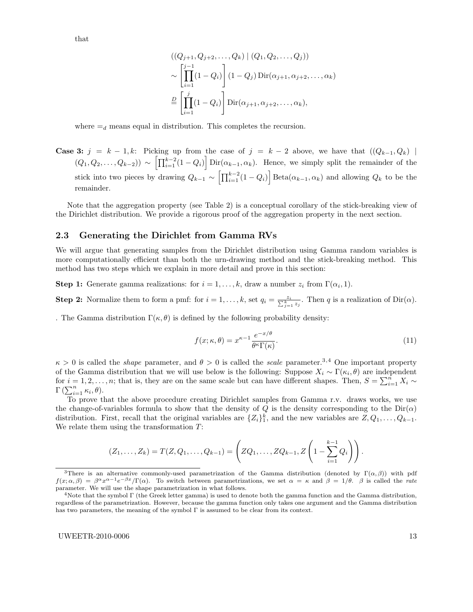that

$$
((Q_{j+1}, Q_{j+2},..., Q_k) | (Q_1, Q_2,..., Q_j))
$$
  
\n
$$
\sim \left[\prod_{i=1}^{j-1} (1 - Q_i)\right] (1 - Q_j) \operatorname{Dir}(\alpha_{j+1}, \alpha_{j+2},..., \alpha_k)
$$
  
\n
$$
\stackrel{D}{=} \left[\prod_{i=1}^{j} (1 - Q_i)\right] \operatorname{Dir}(\alpha_{j+1}, \alpha_{j+2},..., \alpha_k),
$$

where  $=$ <sub>d</sub> means equal in distribution. This completes the recursion.

**Case 3:**  $j = k - 1, k$ : Picking up from the case of  $j = k - 2$  above, we have that  $((Q_{k-1}, Q_k)$  $(Q_1, Q_2, \ldots, Q_{k-2}) \sim \left[ \prod_{i=1}^{k-2} (1 - Q_i) \right] \text{Dir}(\alpha_{k-1}, \alpha_k)$ . Hence, we simply split the remainder of the stick into two pieces by drawing  $Q_{k-1} \sim \left[ \prod_{i=1}^{k-2} (1 - Q_i) \right]$  Beta $(\alpha_{k-1}, \alpha_k)$  and allowing  $Q_k$  to be the remainder.

Note that the aggregation property (see Table 2) is a conceptual corollary of the stick-breaking view of the Dirichlet distribution. We provide a rigorous proof of the aggregation property in the next section.

### 2.3 Generating the Dirichlet from Gamma RVs

We will argue that generating samples from the Dirichlet distribution using Gamma random variables is more computationally efficient than both the urn-drawing method and the stick-breaking method. This method has two steps which we explain in more detail and prove in this section:

**Step 1:** Generate gamma realizations: for  $i = 1, ..., k$ , draw a number  $z_i$  from  $\Gamma(\alpha_i, 1)$ .

**Step 2:** Normalize them to form a pmf: for  $i = 1, ..., k$ , set  $q_i = \frac{z_i}{\sum_{j=1}^k z_j}$ . Then q is a realization of  $\text{Dir}(\alpha)$ .

. The Gamma distribution  $\Gamma(\kappa, \theta)$  is defined by the following probability density:

$$
f(x; \kappa, \theta) = x^{\kappa - 1} \frac{e^{-x/\theta}}{\theta^{\kappa} \Gamma(\kappa)}.
$$
\n(11)

 $\kappa > 0$  is called the *shape* parameter, and  $\theta > 0$  is called the *scale* parameter.<sup>3,4</sup> One important property of the Gamma distribution that we will use below is the following: Suppose  $X_i \sim \Gamma(\kappa_i, \theta)$  are independent for  $i = 1, 2, \ldots, n$ ; that is, they are on the same scale but can have different shapes. Then,  $S = \sum_{i=1}^{n} X_i \sim$  $\Gamma\left(\sum_{i=1}^n \kappa_i, \theta\right)$ .

To prove that the above procedure creating Dirichlet samples from Gamma r.v. draws works, we use the change-of-variables formula to show that the density of Q is the density corresponding to the  $Dir(\alpha)$ distribution. First, recall that the original variables are  $\{Z_i\}_1^k$ , and the new variables are  $Z, Q_1, \ldots, Q_{k-1}$ . We relate them using the transformation  $T$ :

$$
(Z_1, \ldots, Z_k) = T(Z, Q_1, \ldots, Q_{k-1}) = \left( ZQ_1, \ldots, ZQ_{k-1}, Z\left(1 - \sum_{i=1}^{k-1} Q_i\right) \right).
$$

<sup>&</sup>lt;sup>3</sup>There is an alternative commonly-used parametrization of the Gamma distribution (denoted by  $\Gamma(\alpha,\beta)$ ) with pdf  $f(x;\alpha,\beta) = \beta^{\alpha}x^{\alpha-1}e^{-\beta x}/\Gamma(\alpha)$ . To switch between parametrizations, we set  $\alpha = \kappa$  and  $\beta = 1/\theta$ .  $\beta$  is called the rate parameter. We will use the shape parametrization in what follows.

<sup>&</sup>lt;sup>4</sup>Note that the symbol  $\Gamma$  (the Greek letter gamma) is used to denote both the gamma function and the Gamma distribution, regardless of the parametrization. However, because the gamma function only takes one argument and the Gamma distribution has two parameters, the meaning of the symbol  $\Gamma$  is assumed to be clear from its context.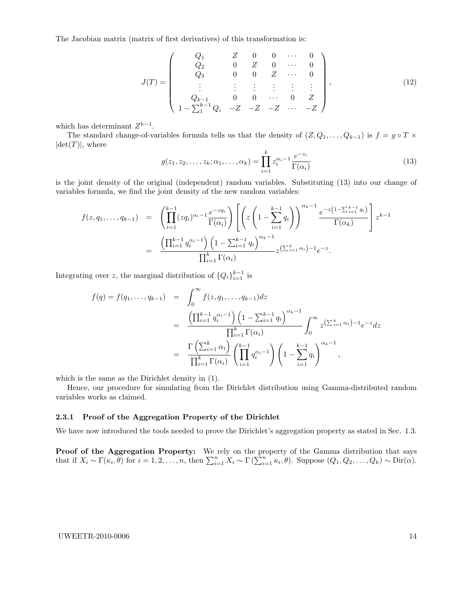The Jacobian matrix (matrix of first derivatives) of this transformation is:

$$
J(T) = \begin{pmatrix} Q_1 & Z & 0 & 0 & \cdots & 0 \\ Q_2 & 0 & Z & 0 & \cdots & 0 \\ Q_3 & 0 & 0 & Z & \cdots & 0 \\ \vdots & \vdots & \vdots & \vdots & \vdots & \vdots \\ Q_{k-1} & 0 & 0 & \cdots & 0 & Z \\ 1 - \sum_{1}^{k-1} Q_i & -Z & -Z & -Z & \cdots & -Z \end{pmatrix},
$$
(12)

which has determinant  $Z^{k-1}$ .

The standard change-of-variables formula tells us that the density of  $(Z, Q_1, \ldots, Q_{k-1})$  is  $f = g \circ T \times$  $|\text{det}(T)|$ , where

$$
g(z_1, z_2, \dots, z_k; \alpha_1, \dots, \alpha_k) = \prod_{i=1}^k z_i^{\alpha_i - 1} \frac{e^{-z_i}}{\Gamma(\alpha_i)}
$$
(13)

is the joint density of the original (independent) random variables. Substituting (13) into our change of variables formula, we find the joint density of the new random variables:

$$
f(z,q_1,\ldots,q_{k-1}) = \left(\prod_{i=1}^{k-1} (zq_i)^{\alpha_i-1} \frac{e^{-zq_i}}{\Gamma(\alpha_i)}\right) \left[\left(z\left(1-\sum_{i=1}^{k-1} q_i\right)\right)^{\alpha_k-1} \frac{e^{-z\left(1-\sum_{i=1}^{k-1} q_i\right)}}{\Gamma(\alpha_k)}\right] z^{k-1} = \frac{\left(\prod_{i=1}^{k-1} q_i^{\alpha_i-1}\right) \left(1-\sum_{i=1}^{k-1} q_i\right)^{\alpha_k-1}}{\prod_{i=1}^k \Gamma(\alpha_i)} z^{k-1} x^{k-1}.
$$

Integrating over z, the marginal distribution of  $\{Q_i\}_{i=1}^{k-1}$  is

$$
f(q) = f(q_1, ..., q_{k-1}) = \int_0^\infty f(z, q_1, ..., q_{k-1}) dz
$$
  
= 
$$
\frac{\left(\prod_{i=1}^{k-1} q_i^{\alpha_i - 1}\right) \left(1 - \sum_{i=1}^{k-1} q_i\right)^{\alpha_k - 1}}{\prod_{i=1}^k \Gamma(\alpha_i)} \int_0^\infty z^{\left(\sum_{i=1}^k \alpha_i\right) - 1} e^{-z} dz
$$
  
= 
$$
\frac{\Gamma\left(\sum_{i=1}^k \alpha_i\right)}{\prod_{i=1}^k \Gamma(\alpha_i)} \left(\prod_{i=1}^{k-1} q_i^{\alpha_i - 1}\right) \left(1 - \sum_{i=1}^{k-1} q_i\right)^{\alpha_k - 1},
$$

which is the same as the Dirichlet density in (1).

Hence, our procedure for simulating from the Dirichlet distribution using Gamma-distributed random variables works as claimed.

#### 2.3.1 Proof of the Aggregation Property of the Dirichlet

We have now introduced the tools needed to prove the Dirichlet's aggregation property as stated in Sec. 1.3.

**Proof of the Aggregation Property:** We rely on the property of the Gamma distribution that says that if  $X_i \sim \Gamma(\kappa_i, \theta)$  for  $i = 1, 2, ..., n$ , then  $\sum_{i=1}^n X_i \sim \Gamma(\sum_{i=1}^n \kappa_i, \theta)$ . Suppose  $(Q_1, Q_2, ..., Q_k) \sim \text{Dir}(\alpha)$ .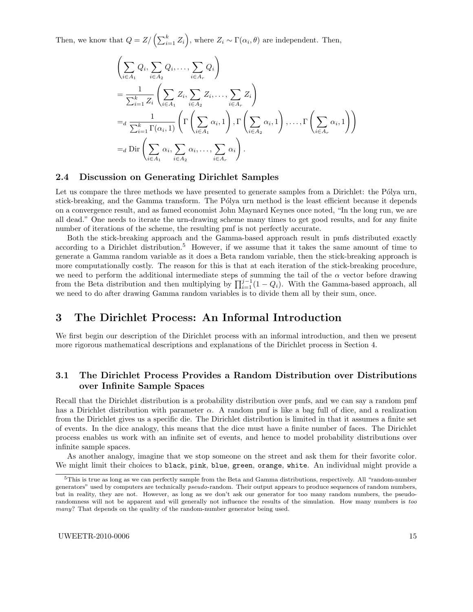Then, we know that  $Q = Z / (\sum_{i=1}^{k} Z_i)$ , where  $Z_i \sim \Gamma(\alpha_i, \theta)$  are independent. Then,

$$
\left(\sum_{i\in A_1} Q_i, \sum_{i\in A_2} Q_i, \dots, \sum_{i\in A_r} Q_i\right)
$$
\n
$$
= \frac{1}{\sum_{i=1}^k Z_i} \left(\sum_{i\in A_1} Z_i, \sum_{i\in A_2} Z_i, \dots, \sum_{i\in A_r} Z_i\right)
$$
\n
$$
=_d \frac{1}{\sum_{i=1}^k \Gamma(\alpha_i, 1)} \left(\Gamma\left(\sum_{i\in A_1} \alpha_i, 1\right), \Gamma\left(\sum_{i\in A_2} \alpha_i, 1\right), \dots, \Gamma\left(\sum_{i\in A_r} \alpha_i, 1\right)\right)
$$
\n
$$
=_d \text{Dir}\left(\sum_{i\in A_1} \alpha_i, \sum_{i\in A_2} \alpha_i, \dots, \sum_{i\in A_r} \alpha_i\right).
$$

### 2.4 Discussion on Generating Dirichlet Samples

Let us compare the three methods we have presented to generate samples from a Dirichlet: the Pólya urn, stick-breaking, and the Gamma transform. The Pólya urn method is the least efficient because it depends on a convergence result, and as famed economist John Maynard Keynes once noted, "In the long run, we are all dead." One needs to iterate the urn-drawing scheme many times to get good results, and for any finite number of iterations of the scheme, the resulting pmf is not perfectly accurate.

Both the stick-breaking approach and the Gamma-based approach result in pmfs distributed exactly according to a Dirichlet distribution.<sup>5</sup> However, if we assume that it takes the same amount of time to generate a Gamma random variable as it does a Beta random variable, then the stick-breaking approach is more computationally costly. The reason for this is that at each iteration of the stick-breaking procedure, we need to perform the additional intermediate steps of summing the tail of the  $\alpha$  vector before drawing from the Beta distribution and then multiplying by  $\prod_{i=1}^{j-1} (1 - Q_i)$ . With the Gamma-based approach, all we need to do after drawing Gamma random variables is to divide them all by their sum, once.

# 3 The Dirichlet Process: An Informal Introduction

We first begin our description of the Dirichlet process with an informal introduction, and then we present more rigorous mathematical descriptions and explanations of the Dirichlet process in Section 4.

# 3.1 The Dirichlet Process Provides a Random Distribution over Distributions over Infinite Sample Spaces

Recall that the Dirichlet distribution is a probability distribution over pmfs, and we can say a random pmf has a Dirichlet distribution with parameter  $\alpha$ . A random pmf is like a bag full of dice, and a realization from the Dirichlet gives us a specific die. The Dirichlet distribution is limited in that it assumes a finite set of events. In the dice analogy, this means that the dice must have a finite number of faces. The Dirichlet process enables us work with an infinite set of events, and hence to model probability distributions over infinite sample spaces.

As another analogy, imagine that we stop someone on the street and ask them for their favorite color. We might limit their choices to black, pink, blue, green, orange, white. An individual might provide a

 $5$ This is true as long as we can perfectly sample from the Beta and Gamma distributions, respectively. All "random-number" generators" used by computers are technically pseudo-random. Their output appears to produce sequences of random numbers, but in reality, they are not. However, as long as we don't ask our generator for too many random numbers, the pseudorandomness will not be apparent and will generally not influence the results of the simulation. How many numbers is too many? That depends on the quality of the random-number generator being used.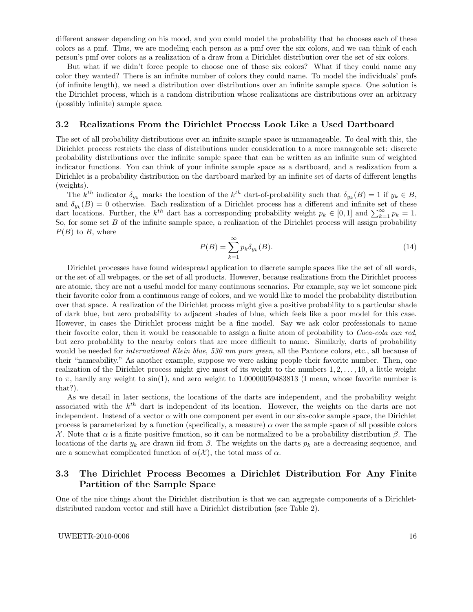different answer depending on his mood, and you could model the probability that he chooses each of these colors as a pmf. Thus, we are modeling each person as a pmf over the six colors, and we can think of each person's pmf over colors as a realization of a draw from a Dirichlet distribution over the set of six colors.

But what if we didn't force people to choose one of those six colors? What if they could name any color they wanted? There is an infinite number of colors they could name. To model the individuals' pmfs (of infinite length), we need a distribution over distributions over an infinite sample space. One solution is the Dirichlet process, which is a random distribution whose realizations are distributions over an arbitrary (possibly infinite) sample space.

### 3.2 Realizations From the Dirichlet Process Look Like a Used Dartboard

The set of all probability distributions over an infinite sample space is unmanageable. To deal with this, the Dirichlet process restricts the class of distributions under consideration to a more manageable set: discrete probability distributions over the infinite sample space that can be written as an infinite sum of weighted indicator functions. You can think of your infinite sample space as a dartboard, and a realization from a Dirichlet is a probability distribution on the dartboard marked by an infinite set of darts of different lengths (weights).

The  $k^{th}$  indicator  $\delta_{y_k}$  marks the location of the  $k^{th}$  dart-of-probability such that  $\delta_{y_k}(B) = 1$  if  $y_k \in B$ , and  $\delta_{y_k}(B) = 0$  otherwise. Each realization of a Dirichlet process has a different and infinite set of these dart locations. Further, the  $k^{th}$  dart has a corresponding probability weight  $p_k \in [0,1]$  and  $\sum_{k=1}^{\infty} p_k = 1$ . So, for some set  $B$  of the infinite sample space, a realization of the Dirichlet process will assign probability  $P(B)$  to B, where

$$
P(B) = \sum_{k=1}^{\infty} p_k \delta_{y_k}(B). \tag{14}
$$

Dirichlet processes have found widespread application to discrete sample spaces like the set of all words, or the set of all webpages, or the set of all products. However, because realizations from the Dirichlet process are atomic, they are not a useful model for many continuous scenarios. For example, say we let someone pick their favorite color from a continuous range of colors, and we would like to model the probability distribution over that space. A realization of the Dirichlet process might give a positive probability to a particular shade of dark blue, but zero probability to adjacent shades of blue, which feels like a poor model for this case. However, in cases the Dirichlet process might be a fine model. Say we ask color professionals to name their favorite color, then it would be reasonable to assign a finite atom of probability to Coca-cola can red, but zero probability to the nearby colors that are more difficult to name. Similarly, darts of probability would be needed for *international Klein blue, 530 nm pure green*, all the Pantone colors, etc., all because of their "nameability." As another example, suppose we were asking people their favorite number. Then, one realization of the Dirichlet process might give most of its weight to the numbers  $1, 2, \ldots, 10$ , a little weight to  $\pi$ , hardly any weight to sin(1), and zero weight to 1.00000059483813 (I mean, whose favorite number is that?).

As we detail in later sections, the locations of the darts are independent, and the probability weight associated with the  $k^{th}$  dart is independent of its location. However, the weights on the darts are not independent. Instead of a vector  $\alpha$  with one component per event in our six-color sample space, the Dirichlet process is parameterized by a function (specifically, a measure)  $\alpha$  over the sample space of all possible colors X . Note that α is a finite positive function, so it can be normalized to be a probability distribution β. The locations of the darts  $y_k$  are drawn iid from  $\beta$ . The weights on the darts  $p_k$  are a decreasing sequence, and are a somewhat complicated function of  $\alpha(\mathcal{X})$ , the total mass of  $\alpha$ .

# 3.3 The Dirichlet Process Becomes a Dirichlet Distribution For Any Finite Partition of the Sample Space

One of the nice things about the Dirichlet distribution is that we can aggregate components of a Dirichletdistributed random vector and still have a Dirichlet distribution (see Table 2).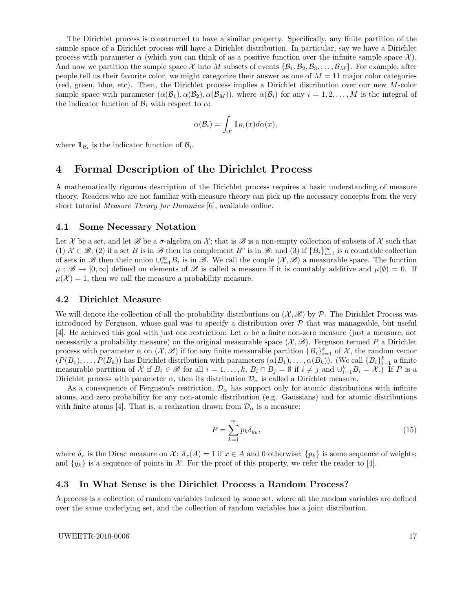The Dirichlet process is constructed to have a similar property. Specifically, any finite partition of the sample space of a Dirichlet process will have a Dirichlet distribution. In particular, say we have a Dirichlet process with parameter  $\alpha$  (which you can think of as a positive function over the infinite sample space X). And now we partition the sample space X into M subsets of events  $\{B_1, B_2, B_3, \ldots, B_M\}$ . For example, after people tell us their favorite color, we might categorize their answer as one of  $M = 11$  major color categories (red, green, blue, etc). Then, the Dirichlet process implies a Dirichlet distribution over our new M-color sample space with parameter  $(\alpha(\mathcal{B}_1), \alpha(\mathcal{B}_2), \alpha(\mathcal{B}_M))$ , where  $\alpha(\mathcal{B}_i)$  for any  $i = 1, 2, ..., M$  is the integral of the indicator function of  $\mathcal{B}_i$  with respect to  $\alpha$ :

$$
\alpha(\mathcal{B}_i) = \int_{\mathcal{X}} \mathbb{1}_{\mathcal{B}_i}(x) d\alpha(x),
$$

where  $\mathbb{1}_{\mathcal{B}_i}$  is the indicator function of  $\mathcal{B}_i$ .

# 4 Formal Description of the Dirichlet Process

A mathematically rigorous description of the Dirichlet process requires a basic understanding of measure theory. Readers who are not familiar with measure theory can pick up the necessary concepts from the very short tutorial Measure Theory for Dummies [6], available online.

### 4.1 Some Necessary Notation

Let X be a set, and let  $\mathscr B$  be a  $\sigma$ -algebra on X; that is  $\mathscr B$  is a non-empty collection of subsets of X such that (1)  $\mathcal{X} \in \mathscr{B}$ ; (2) if a set B is in  $\mathscr{B}$  then its complement  $B^c$  is in  $\mathscr{B}$ ; and (3) if  $\{B_i\}_{i=1}^{\infty}$  is a countable collection of sets in B then their union  $\cup_{i=1}^{\infty} B_i$  is in B. We call the couple  $(\mathcal{X}, \mathcal{B})$  a measurable space. The function  $\mu : \mathscr{B} \to [0,\infty]$  defined on elements of  $\mathscr{B}$  is called a measure if it is countably additive and  $\mu(\emptyset) = 0$ . If  $\mu(\mathcal{X}) = 1$ , then we call the measure a probability measure.

### 4.2 Dirichlet Measure

We will denote the collection of all the probability distributions on  $(\mathcal{X}, \mathscr{B})$  by  $\mathcal{P}$ . The Dirichlet Process was introduced by Ferguson, whose goal was to specify a distribution over  $P$  that was manageable, but useful [4]. He achieved this goal with just one restriction: Let  $\alpha$  be a finite non-zero measure (just a measure, not necessarily a probability measure) on the original measurable space  $(\mathcal{X}, \mathcal{B})$ . Ferguson termed P a Dirichlet process with parameter  $\alpha$  on  $(\mathcal{X}, \mathcal{B})$  if for any finite measurable partition  $\{B_i\}_{i=1}^k$  of  $\mathcal{X}$ , the random vector  $(P(B_1), \ldots, P(B_k))$  has Dirichlet distribution with parameters  $(\alpha(B_1), \ldots, \alpha(B_k))$ . (We call  $\{B_i\}_{i=1}^k$  a finite measurable partition of X if  $B_i \in \mathscr{B}$  for all  $i = 1, \ldots, k$ ,  $B_i \cap B_j = \emptyset$  if  $i \neq j$  and  $\cup_{i=1}^k B_i = \mathcal{X}$ .) If P is a Dirichlet process with parameter  $\alpha$ , then its distribution  $\mathcal{D}_{\alpha}$  is called a Dirichlet measure.

As a consequence of Ferguson's restriction,  $\mathcal{D}_{\alpha}$  has support only for atomic distributions with infinite atoms, and zero probability for any non-atomic distribution (e.g. Gaussians) and for atomic distributions with finite atoms [4]. That is, a realization drawn from  $\mathcal{D}_{\alpha}$  is a measure:

$$
P = \sum_{k=1}^{\infty} p_k \delta_{y_k},\tag{15}
$$

where  $\delta_x$  is the Dirac measure on X:  $\delta_x(A) = 1$  if  $x \in A$  and 0 otherwise;  $\{p_k\}$  is some sequence of weights; and  $\{y_k\}$  is a sequence of points in X. For the proof of this property, we refer the reader to [4].

### 4.3 In What Sense is the Dirichlet Process a Random Process?

A process is a collection of random variables indexed by some set, where all the random variables are defined over the same underlying set, and the collection of random variables has a joint distribution.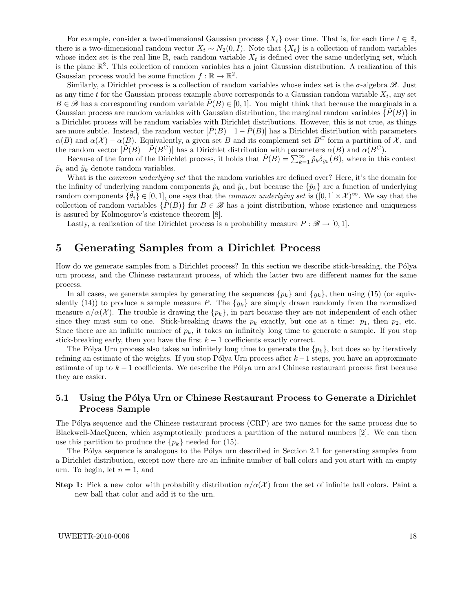For example, consider a two-dimensional Gaussian process  $\{X_t\}$  over time. That is, for each time  $t \in \mathbb{R}$ , there is a two-dimensional random vector  $X_t \sim N_2(0, I)$ . Note that  $\{X_t\}$  is a collection of random variables whose index set is the real line R, each random variable  $X_t$  is defined over the same underlying set, which is the plane  $\mathbb{R}^2$ . This collection of random variables has a joint Gaussian distribution. A realization of this Gaussian process would be some function  $f : \mathbb{R} \to \mathbb{R}^2$ .

Similarly, a Dirichlet process is a collection of random variables whose index set is the  $\sigma$ -algebra  $\mathscr{B}$ . Just as any time t for the Gaussian process example above corresponds to a Gaussian random variable  $X_t$ , any set  $B \in \mathscr{B}$  has a corresponding random variable  $P(B) \in [0,1]$ . You might think that because the marginals in a Gaussian process are random variables with Gaussian distribution, the marginal random variables  $\{P(B)\}\$ in a Dirichlet process will be random variables with Dirichlet distributions. However, this is not true, as things are more subtle. Instead, the random vector  $[\tilde{P}(B) \quad 1-\tilde{P}(B)]$  has a Dirichlet distribution with parameters  $\alpha(B)$  and  $\alpha(\mathcal{X}) - \alpha(B)$ . Equivalently, a given set B and its complement set B<sup>C</sup> form a partition of X, and the random vector  $[\tilde{P}(B) \quad \tilde{P}(B^C)]$  has a Dirichlet distribution with parameters  $\alpha(B)$  and  $\alpha(B^C)$ .

Because of the form of the Dirichlet process, it holds that  $\tilde{P}(B) = \sum_{k=1}^{\infty} \tilde{p}_k \delta_{\tilde{y}_k}(B)$ , where in this context  $\tilde{p}_k$  and  $\tilde{y}_k$  denote random variables.

What is the *common underlying set* that the random variables are defined over? Here, it's the domain for the infinity of underlying random components  $\tilde{p}_k$  and  $\tilde{y}_k$ , but because the  $\{\tilde{p}_k\}$  are a function of underlying random components  $\{\tilde{\theta}_i\} \in [0,1]$ , one says that the *common underlying set* is  $([0,1] \times \mathcal{X})^{\infty}$ . We say that the collection of random variables  $\{P(B)\}\$ for  $B \in \mathcal{B}$  has a joint distribution, whose existence and uniqueness is assured by Kolmogorov's existence theorem [8].

Lastly, a realization of the Dirichlet process is a probability measure  $P : \mathscr{B} \to [0,1].$ 

# 5 Generating Samples from a Dirichlet Process

How do we generate samples from a Dirichlet process? In this section we describe stick-breaking, the Pólya urn process, and the Chinese restaurant process, of which the latter two are different names for the same process.

In all cases, we generate samples by generating the sequences  $\{p_k\}$  and  $\{y_k\}$ , then using (15) (or equivalently (14)) to produce a sample measure P. The  $\{y_k\}$  are simply drawn randomly from the normalized measure  $\alpha/\alpha(\mathcal{X})$ . The trouble is drawing the  $\{p_k\}$ , in part because they are not independent of each other since they must sum to one. Stick-breaking draws the  $p_k$  exactly, but one at a time:  $p_1$ , then  $p_2$ , etc. Since there are an infinite number of  $p_k$ , it takes an infinitely long time to generate a sample. If you stop stick-breaking early, then you have the first  $k - 1$  coefficients exactly correct.

The Pólya Urn process also takes an infinitely long time to generate the  $\{p_k\}$ , but does so by iteratively refining an estimate of the weights. If you stop Pólya Urn process after  $k-1$  steps, you have an approximate estimate of up to  $k-1$  coefficients. We describe the Pólya urn and Chinese restaurant process first because they are easier.

### 5.1 Using the Pólya Urn or Chinese Restaurant Process to Generate a Dirichlet Process Sample

The Pólya sequence and the Chinese restaurant process (CRP) are two names for the same process due to Blackwell-MacQueen, which asymptotically produces a partition of the natural numbers [2]. We can then use this partition to produce the  $\{p_k\}$  needed for (15).

The Pólya sequence is analogous to the Pólya urn described in Section 2.1 for generating samples from a Dirichlet distribution, except now there are an infinite number of ball colors and you start with an empty urn. To begin, let  $n = 1$ , and

**Step 1:** Pick a new color with probability distribution  $\alpha/\alpha(\mathcal{X})$  from the set of infinite ball colors. Paint a new ball that color and add it to the urn.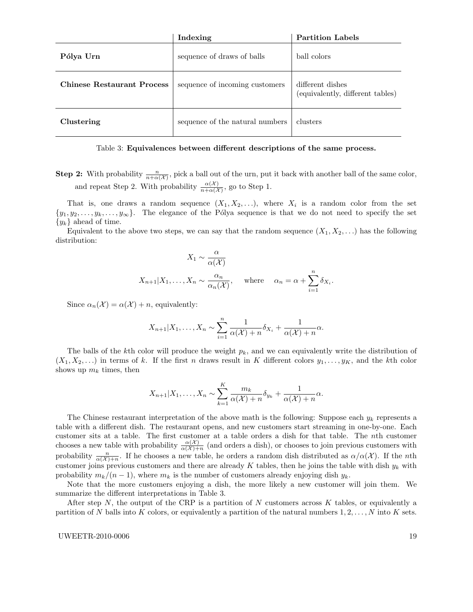|                                   | Indexing                        | <b>Partition Labels</b>                              |
|-----------------------------------|---------------------------------|------------------------------------------------------|
| Pólya Urn                         | sequence of draws of balls      | ball colors                                          |
| <b>Chinese Restaurant Process</b> | sequence of incoming customers  | different dishes<br>(equivalently, different tables) |
| Clustering                        | sequence of the natural numbers | clusters                                             |

#### Table 3: Equivalences between different descriptions of the same process.

**Step 2:** With probability  $\frac{n}{n+\alpha(\mathcal{X})}$ , pick a ball out of the urn, put it back with another ball of the same color, and repeat Step 2. With probability  $\frac{\alpha(\mathcal{X})}{n+\alpha(\mathcal{X})}$ , go to Step 1.

That is, one draws a random sequence  $(X_1, X_2, \ldots)$ , where  $X_i$  is a random color from the set  $\{y_1, y_2, \ldots, y_k, \ldots, y_\infty\}$ . The elegance of the Pólya sequence is that we do not need to specify the set  $\{y_k\}$  ahead of time.

Equivalent to the above two steps, we can say that the random sequence  $(X_1, X_2, \ldots)$  has the following distribution:

$$
X_1 \sim \frac{\alpha}{\alpha(\mathcal{X})}
$$
  

$$
X_{n+1}|X_1,\ldots,X_n \sim \frac{\alpha_n}{\alpha_n(\mathcal{X})}, \quad \text{where} \quad \alpha_n = \alpha + \sum_{i=1}^n \delta_{X_i}.
$$

Since  $\alpha_n(\mathcal{X}) = \alpha(\mathcal{X}) + n$ , equivalently:

$$
X_{n+1}|X_1,\ldots,X_n \sim \sum_{i=1}^n \frac{1}{\alpha(\mathcal{X})+n} \delta_{X_i} + \frac{1}{\alpha(\mathcal{X})+n} \alpha.
$$

The balls of the kth color will produce the weight  $p_k$ , and we can equivalently write the distribution of  $(X_1, X_2, \ldots)$  in terms of k. If the first n draws result in K different colors  $y_1, \ldots, y_K$ , and the kth color shows up  $m_k$  times, then

$$
X_{n+1}|X_1,\ldots,X_n \sim \sum_{k=1}^K \frac{m_k}{\alpha(\mathcal{X})+n} \delta_{y_k} + \frac{1}{\alpha(\mathcal{X})+n} \alpha.
$$

The Chinese restaurant interpretation of the above math is the following: Suppose each  $y_k$  represents a table with a different dish. The restaurant opens, and new customers start streaming in one-by-one. Each customer sits at a table. The first customer at a table orders a dish for that table. The nth customer chooses a new table with probability  $\frac{\alpha(\mathcal{X})}{\alpha(\mathcal{X})+n}$  (and orders a dish), or chooses to join previous customers with probability  $\frac{n}{\alpha(\mathcal{X})+n}$ . If he chooses a new table, he orders a random dish distributed as  $\alpha/\alpha(\mathcal{X})$ . If the *n*th customer joins previous customers and there are already K tables, then he joins the table with dish  $y_k$  with probability  $m_k/(n-1)$ , where  $m_k$  is the number of customers already enjoying dish  $y_k$ .

Note that the more customers enjoying a dish, the more likely a new customer will join them. We summarize the different interpretations in Table 3.

After step N, the output of the CRP is a partition of N customers across  $K$  tables, or equivalently a partition of N balls into K colors, or equivalently a partition of the natural numbers  $1, 2, \ldots, N$  into K sets.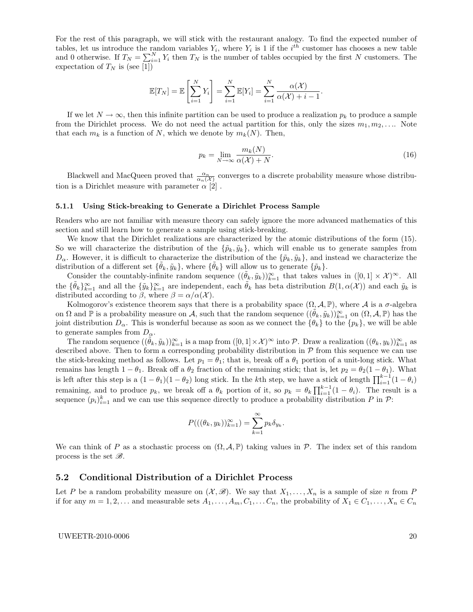For the rest of this paragraph, we will stick with the restaurant analogy. To find the expected number of tables, let us introduce the random variables  $Y_i$ , where  $Y_i$  is 1 if the i<sup>th</sup> customer has chooses a new table and 0 otherwise. If  $T_N = \sum_{i=1}^N Y_i$  then  $T_N$  is the number of tables occupied by the first N customers. The expectation of  $T_N$  is (see [1])

$$
\mathbb{E}[T_N] = \mathbb{E}\left[\sum_{i=1}^N Y_i\right] = \sum_{i=1}^N \mathbb{E}[Y_i] = \sum_{i=1}^N \frac{\alpha(\mathcal{X})}{\alpha(\mathcal{X}) + i - 1}.
$$

If we let  $N \to \infty$ , then this infinite partition can be used to produce a realization  $p_k$  to produce a sample from the Dirichlet process. We do not need the actual partition for this, only the sizes  $m_1, m_2, \ldots$ . Note that each  $m_k$  is a function of N, which we denote by  $m_k(N)$ . Then,

$$
p_k = \lim_{N \to \infty} \frac{m_k(N)}{\alpha(\mathcal{X}) + N}.
$$
\n(16)

Blackwell and MacQueen proved that  $\frac{\alpha_n}{\alpha_n(\mathcal{X})}$  converges to a discrete probability measure whose distribution is a Dirichlet measure with parameter  $\alpha$  [2].

#### 5.1.1 Using Stick-breaking to Generate a Dirichlet Process Sample

Readers who are not familiar with measure theory can safely ignore the more advanced mathematics of this section and still learn how to generate a sample using stick-breaking.

We know that the Dirichlet realizations are characterized by the atomic distributions of the form (15). So we will characterize the distribution of the  $\{\tilde{p}_k, \tilde{y}_k\}$ , which will enable us to generate samples from  $D_{\alpha}$ . However, it is difficult to characterize the distribution of the  $\{\tilde{p}_k, \tilde{y}_k\}$ , and instead we characterize the distribution of a different set  $\{\tilde{\theta}_k, \tilde{y}_k\}$ , where  $\{\tilde{\theta}_k\}$  will allow us to generate  $\{\tilde{p}_k\}$ .

Consider the countably-infinite random sequence  $((\tilde{\theta}_k, \tilde{y}_k))_{k=1}^{\infty}$  that takes values in  $([0,1] \times \mathcal{X})^{\infty}$ . All the  $\{\tilde{\theta}_k\}_{k=1}^{\infty}$  and all the  $\{\tilde{y}_k\}_{k=1}^{\infty}$  are independent, each  $\tilde{\theta}_k$  has beta distribution  $B(1,\alpha(\mathcal{X}))$  and each  $\tilde{y}_k$  is distributed according to  $\beta$ , where  $\beta = \alpha/\alpha(\mathcal{X})$ .

Kolmogorov's existence theorem says that there is a probability space  $(\Omega, \mathcal{A}, \mathbb{P})$ , where  $\mathcal{A}$  is a  $\sigma$ -algebra on  $\Omega$  and  $\mathbb P$  is a probability measure on A, such that the random sequence  $((\tilde{\theta}_k, \tilde{y}_k))_{k=1}^{\infty}$  on  $(\Omega, \mathcal A, \mathbb P)$  has the joint distribution  $D_{\alpha}$ . This is wonderful because as soon as we connect the  $\{\theta_k\}$  to the  $\{p_k\}$ , we will be able to generate samples from  $D_{\alpha}$ .

The random sequence  $((\tilde{\theta}_k, \tilde{y}_k))_{k=1}^{\infty}$  is a map from  $([0,1] \times \mathcal{X})^{\infty}$  into  $\mathcal{P}$ . Draw a realization  $((\theta_k, y_k))_{k=1}^{\infty}$  as described above. Then to form a corresponding probability distribution in  $P$  from this sequence we can use the stick-breaking method as follows. Let  $p_1 = \theta_1$ ; that is, break off a  $\theta_1$  portion of a unit-long stick. What remains has length  $1 - \theta_1$ . Break off a  $\theta_2$  fraction of the remaining stick; that is, let  $p_2 = \theta_2(1 - \theta_1)$ . What is left after this step is a  $(1 - \theta_1)(1 - \theta_2)$  long stick. In the kth step, we have a stick of length  $\prod_{i=1}^{k-1} (1 - \theta_i)$ remaining, and to produce  $p_k$ , we break off a  $\theta_k$  portion of it, so  $p_k = \theta_k \prod_{i=1}^{k-1} (1 - \theta_i)$ . The result is a sequence  $(p_i)_{i=1}^k$  and we can use this sequence directly to produce a probability distribution P in P:

$$
P(((\theta_k, y_k))_{k=1}^{\infty}) = \sum_{k=1}^{\infty} p_k \delta_{y_k}.
$$

We can think of P as a stochastic process on  $(\Omega, \mathcal{A}, \mathbb{P})$  taking values in P. The index set of this random process is the set  $\mathscr{B}$ .

### 5.2 Conditional Distribution of a Dirichlet Process

Let P be a random probability measure on  $(\mathcal{X}, \mathcal{B})$ . We say that  $X_1, \ldots, X_n$  is a sample of size n from P if for any  $m = 1, 2, \ldots$  and measurable sets  $A_1, \ldots, A_m, C_1, \ldots, C_n$ , the probability of  $X_1 \in C_1, \ldots, X_n \in C_n$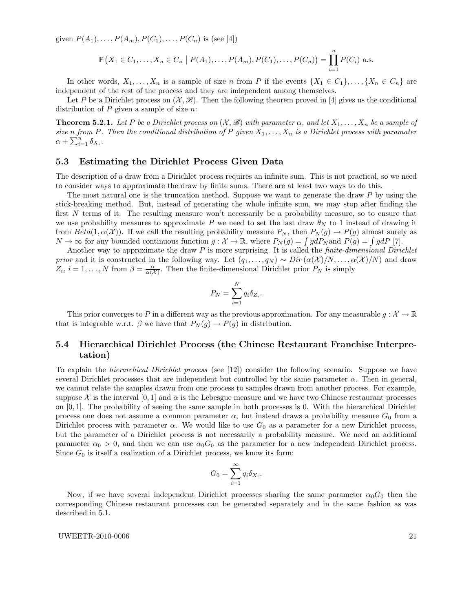given  $P(A_1), \ldots, P(A_m), P(C_1), \ldots, P(C_n)$  is (see [4])

$$
\mathbb{P}\left(X_1 \in C_1, \ldots, X_n \in C_n \mid P(A_1), \ldots, P(A_m), P(C_1), \ldots, P(C_n)\right) = \prod_{i=1}^n P(C_i)
$$
 a.s.

In other words,  $X_1, \ldots, X_n$  is a sample of size n from P if the events  $\{X_1 \in C_1\}, \ldots, \{X_n \in C_n\}$  are independent of the rest of the process and they are independent among themselves.

Let P be a Dirichlet process on  $(\mathcal{X}, \mathscr{B})$ . Then the following theorem proved in [4] gives us the conditional distribution of  $P$  given a sample of size  $n$ :

**Theorem 5.2.1.** Let P be a Dirichlet process on  $(X, \mathcal{B})$  with parameter  $\alpha$ , and let  $X_1, \ldots, X_n$  be a sample of size n from P. Then the conditional distribution of P given  $X_1, \ldots, X_n$  is a Dirichlet process with paramater  $\alpha + \sum_{i=1}^n \delta_{X_i}.$ 

### 5.3 Estimating the Dirichlet Process Given Data

The description of a draw from a Dirichlet process requires an infinite sum. This is not practical, so we need to consider ways to approximate the draw by finite sums. There are at least two ways to do this.

The most natural one is the truncation method. Suppose we want to generate the draw P by using the stick-breaking method. But, instead of generating the whole infinite sum, we may stop after finding the first N terms of it. The resulting measure won't necessarily be a probability measure, so to ensure that we use probability measures to approximate P we need to set the last draw  $\theta_N$  to 1 instead of drawing it from  $Beta(1, \alpha(\mathcal{X}))$ . If we call the resulting probability measure  $P_N$ , then  $P_N(g) \to P(g)$  almost surely as  $N \to \infty$  for any bounded continuous function  $g: \mathcal{X} \to \mathbb{R}$ , where  $P_N(g) = \int g dP_N$  and  $P(g) = \int g dP$  [7].

Another way to approximate the draw  $P$  is more surprising. It is called the *finite-dimensional Dirichlet* prior and it is constructed in the following way. Let  $(q_1, \ldots, q_N) \sim Dir(\alpha(\mathcal{X})/N, \ldots, \alpha(\mathcal{X})/N)$  and draw  $Z_i$ ,  $i = 1, ..., N$  from  $\beta = \frac{\alpha}{\alpha(\mathcal{X})}$ . Then the finite-dimensional Dirichlet prior  $P_N$  is simply

$$
P_N = \sum_{i=1}^N q_i \delta_{Z_i}.
$$

This prior converges to P in a different way as the previous approximation. For any measurable  $g: \mathcal{X} \to \mathbb{R}$ that is integrable w.r.t.  $\beta$  we have that  $P_N(g) \to P(g)$  in distribution.

# 5.4 Hierarchical Dirichlet Process (the Chinese Restaurant Franchise Interpretation)

To explain the hierarchical Dirichlet process (see [12]) consider the following scenario. Suppose we have several Dirichlet processes that are independent but controlled by the same parameter  $\alpha$ . Then in general, we cannot relate the samples drawn from one process to samples drawn from another process. For example, suppose X is the interval [0, 1] and  $\alpha$  is the Lebesgue measure and we have two Chinese restaurant processes on  $[0, 1]$ . The probability of seeing the same sample in both processes is 0. With the hierarchical Dirichlet process one does not assume a common parameter  $\alpha$ , but instead draws a probability measure  $G_0$  from a Dirichlet process with parameter  $\alpha$ . We would like to use  $G_0$  as a parameter for a new Dirichlet process, but the parameter of a Dirichlet process is not necessarily a probability measure. We need an additional parameter  $\alpha_0 > 0$ , and then we can use  $\alpha_0 G_0$  as the parameter for a new independent Dirichlet process. Since  $G_0$  is itself a realization of a Dirichlet process, we know its form:

$$
G_0 = \sum_{i=1}^{\infty} q_i \delta_{X_i}.
$$

Now, if we have several independent Dirichlet processes sharing the same parameter  $\alpha_0G_0$  then the corresponding Chinese restaurant processes can be generated separately and in the same fashion as was described in 5.1.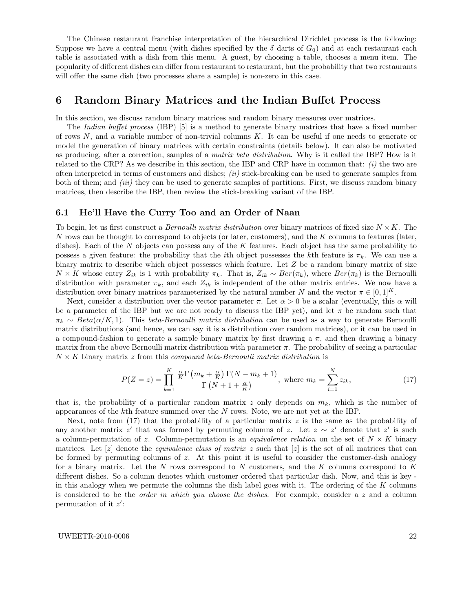The Chinese restaurant franchise interpretation of the hierarchical Dirichlet process is the following: Suppose we have a central menu (with dishes specified by the  $\delta$  darts of  $G_0$ ) and at each restaurant each table is associated with a dish from this menu. A guest, by choosing a table, chooses a menu item. The popularity of different dishes can differ from restaurant to restaurant, but the probability that two restaurants will offer the same dish (two processes share a sample) is non-zero in this case.

# 6 Random Binary Matrices and the Indian Buffet Process

In this section, we discuss random binary matrices and random binary measures over matrices.

The *Indian buffet process* (IBP) [5] is a method to generate binary matrices that have a fixed number of rows N, and a variable number of non-trivial columns K. It can be useful if one needs to generate or model the generation of binary matrices with certain constraints (details below). It can also be motivated as producing, after a correction, samples of a *matrix beta distribution*. Why is it called the IBP? How is it related to the CRP? As we describe in this section, the IBP and CRP have in common that:  $(i)$  the two are often interpreted in terms of customers and dishes;  $(ii)$  stick-breaking can be used to generate samples from both of them; and *(iii)* they can be used to generate samples of partitions. First, we discuss random binary matrices, then describe the IBP, then review the stick-breaking variant of the IBP.

### 6.1 He'll Have the Curry Too and an Order of Naan

To begin, let us first construct a *Bernoulli matrix distribution* over binary matrices of fixed size  $N \times K$ . The N rows can be thought to correspond to objects (or later, customers), and the K columns to features (later, dishes). Each of the  $N$  objects can possess any of the  $K$  features. Each object has the same probability to possess a given feature: the probability that the *i*th object possesses the kth feature is  $\pi_k$ . We can use a binary matrix to describe which object possesses which feature. Let Z be a random binary matrix of size  $N \times K$  whose entry  $Z_{ik}$  is 1 with probability  $\pi_k$ . That is,  $Z_{ik} \sim Ber(\pi_k)$ , where  $Ber(\pi_k)$  is the Bernoulli distribution with parameter  $\pi_k$ , and each  $Z_{ik}$  is independent of the other matrix entries. We now have a distribution over binary matrices parameterized by the natural number N and the vector  $\pi \in [0,1]^K$ .

Next, consider a distribution over the vector parameter  $\pi$ . Let  $\alpha > 0$  be a scalar (eventually, this  $\alpha$  will be a parameter of the IBP but we are not ready to discuss the IBP yet), and let  $\pi$  be random such that  $\pi_k \sim Beta(\alpha/K, 1)$ . This beta-Bernoulli matrix distribution can be used as a way to generate Bernoulli matrix distributions (and hence, we can say it is a distribution over random matrices), or it can be used in a compound-fashion to generate a sample binary matrix by first drawing a  $\pi$ , and then drawing a binary matrix from the above Bernoulli matrix distribution with parameter  $\pi$ . The probability of seeing a particular  $N \times K$  binary matrix z from this compound beta-Bernoulli matrix distribution is

$$
P(Z = z) = \prod_{k=1}^{K} \frac{\frac{\alpha}{K} \Gamma\left(m_k + \frac{\alpha}{K}\right) \Gamma(N - m_k + 1)}{\Gamma\left(N + 1 + \frac{\alpha}{K}\right)}, \text{ where } m_k = \sum_{i=1}^{N} z_{ik},\tag{17}
$$

that is, the probability of a particular random matrix z only depends on  $m_k$ , which is the number of appearances of the kth feature summed over the N rows. Note, we are not yet at the IBP.

Next, note from (17) that the probability of a particular matrix  $z$  is the same as the probability of any another matrix z' that was formed by permuting columns of z. Let  $z \sim z'$  denote that z' is such a column-permutation of z. Column-permutation is an *equivalence relation* on the set of  $N \times K$  binary matrices. Let  $[z]$  denote the *equivalence class of matrix z* such that  $[z]$  is the set of all matrices that can be formed by permuting columns of  $z$ . At this point it is useful to consider the customer-dish analogy for a binary matrix. Let the  $N$  rows correspond to  $N$  customers, and the  $K$  columns correspond to  $K$ different dishes. So a column denotes which customer ordered that particular dish. Now, and this is key in this analogy when we permute the columns the dish label goes with it. The ordering of the  $K$  columns is considered to be the *order in which you choose the dishes*. For example, consider a  $z$  and a column permutation of it  $z'$ :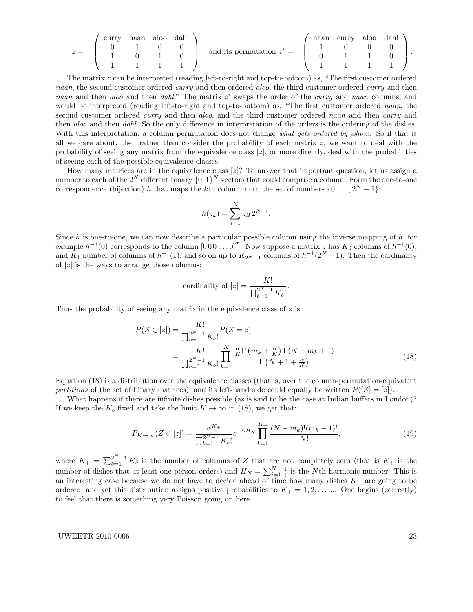$$
z = \begin{pmatrix} \text{curry} & \text{naan} & \text{aloo} & \text{dahl} \\ 0 & 1 & 0 & 0 \\ 1 & 0 & 1 & 0 \\ 1 & 1 & 1 & 1 \end{pmatrix} \text{ and its permutation } z' = \begin{pmatrix} \text{naan} & \text{curry} & \text{aloo} & \text{dahl} \\ 1 & 0 & 0 & 0 \\ 0 & 1 & 1 & 0 \\ 1 & 1 & 1 & 1 \end{pmatrix}.
$$

The matrix z can be interpreted (reading left-to-right and top-to-bottom) as, "The first customer ordered naan, the second customer ordered *curry* and then ordered aloo, the third customer ordered *curry* and then naan and then aloo and then dahl." The matrix  $z'$  swaps the order of the curry and naan columns, and would be interpreted (reading left-to-right and top-to-bottom) as, "The first customer ordered naan, the second customer ordered *curry* and then *aloo*, and the third customer ordered *naan* and then *curry* and then aloo and then dahl. So the only difference in interpretation of the orders is the ordering of the dishes. With this interpretation, a column permutation does not change what gets ordered by whom. So if that is all we care about, then rather than consider the probability of each matrix  $z$ , we want to deal with the probability of seeing any matrix from the equivalence class  $[z]$ , or more directly, deal with the probabilities of seeing each of the possible equivalence classes.

How many matrices are in the equivalence class  $|z|$ ? To answer that important question, let us assign a number to each of the  $2^N$  different binary  $\{0,1\}^N$  vectors that could comprise a column. Form the one-to-one correspondence (bijection) h that maps the kth column onto the set of numbers  $\{0, \ldots, 2^N - 1\}$ :

$$
h(z_k) = \sum_{i=1}^{N} z_{ik} 2^{N-i}.
$$

Since  $h$  is one-to-one, we can now describe a particular possible column using the inverse mapping of  $h$ , for example  $h^{-1}(0)$  corresponds to the column  $[000 \dots 0]^T$ . Now suppose a matrix z has  $K_0$  columns of  $h^{-1}(0)$ , and  $K_1$  number of columns of  $h^{-1}(1)$ , and so on up to  $K_{2^N-1}$  columns of  $h^{-1}(2^N-1)$ . Then the cardinality of  $[z]$  is the ways to arrange those columns:

cardinality of 
$$
[z] = \frac{K!}{\prod_{b=0}^{2^N-1} K_b!}
$$
.

Thus the probability of seeing any matrix in the equivalence class of  $z$  is

$$
P(Z \in [z]) = \frac{K!}{\prod_{b=0}^{2^{N}-1} K_b!} P(Z = z)
$$
  
= 
$$
\frac{K!}{\prod_{b=0}^{2^{N}-1} K_b!} \prod_{k=1}^{K} \frac{\frac{\alpha}{K} \Gamma\left(m_k + \frac{\alpha}{K}\right) \Gamma(N - m_k + 1)}{\Gamma\left(N + 1 + \frac{\alpha}{K}\right)}.
$$
 (18)

Equation (18) is a distribution over the equivalence classes (that is, over the column-permutation-equivalent partitions of the set of binary matrices), and its left-hand side could equally be written  $P(|Z| = |z|)$ .

What happens if there are infinite dishes possible (as is said to be the case at Indian buffets in London)? If we keep the  $K_b$  fixed and take the limit  $K \to \infty$  in (18), we get that:

$$
P_{K \to \infty}(Z \in [z]) = \frac{\alpha^{K_+}}{\prod_{b=1}^{2^{N}-1} K_b!} e^{-\alpha H_N} \prod_{k=1}^{K_+} \frac{(N - m_k)!(m_k - 1)!}{N!},\tag{19}
$$

where  $K_+ = \sum_{b=1}^{2^N-1} K_b$  is the number of columns of Z that are not completely zero (that is  $K_+$  is the number of dishes that at least one person orders) and  $H_N = \sum_{i=1}^N \frac{1}{i}$  is the Nth harmonic number. This is an interesting case because we do not have to decide ahead of time how many dishes  $K_{+}$  are going to be ordered, and yet this distribution assigns positive probabilities to  $K_{+} = 1, 2, \ldots$  One begins (correctly) to feel that there is something very Poisson going on here...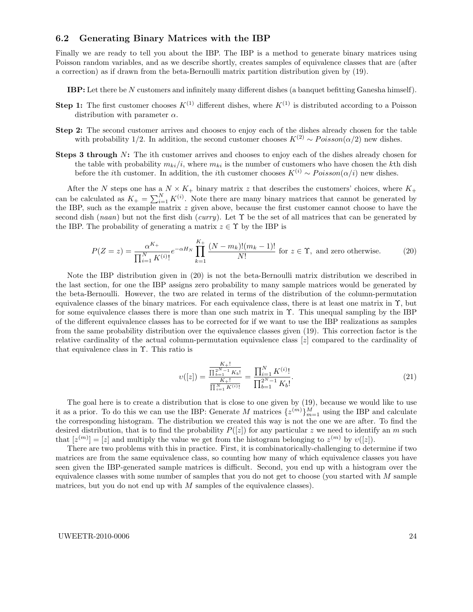### 6.2 Generating Binary Matrices with the IBP

Finally we are ready to tell you about the IBP. The IBP is a method to generate binary matrices using Poisson random variables, and as we describe shortly, creates samples of equivalence classes that are (after a correction) as if drawn from the beta-Bernoulli matrix partition distribution given by (19).

IBP: Let there be N customers and infinitely many different dishes (a banquet befitting Ganesha himself).

- **Step 1:** The first customer chooses  $K^{(1)}$  different dishes, where  $K^{(1)}$  is distributed according to a Poisson distribution with parameter  $\alpha$ .
- Step 2: The second customer arrives and chooses to enjoy each of the dishes already chosen for the table with probability 1/2. In addition, the second customer chooses  $K^{(2)} \sim Poisson(\alpha/2)$  new dishes.
- Steps 3 through N: The ith customer arrives and chooses to enjoy each of the dishes already chosen for the table with probability  $m_{ki}/i$ , where  $m_{ki}$  is the number of customers who have chosen the kth dish before the *i*th customer. In addition, the *i*th customer chooses  $K^{(i)} \sim Poisson(\alpha/i)$  new dishes.

After the N steps one has a  $N \times K_+$  binary matrix z that describes the customers' choices, where  $K_+$ can be calculated as  $K_{+} = \sum_{i=1}^{N} K^{(i)}$ . Note there are many binary matrices that cannot be generated by the IBP, such as the example matrix  $z$  given above, because the first customer cannot choose to have the second dish (naan) but not the first dish (curry). Let  $\Upsilon$  be the set of all matrices that can be generated by the IBP. The probability of generating a matrix  $z \in \Upsilon$  by the IBP is

$$
P(Z = z) = \frac{\alpha^{K_{+}}}{\prod_{i=1}^{N} K^{(i)}!} e^{-\alpha H_{N}} \prod_{k=1}^{K_{+}} \frac{(N - m_{k})!(m_{k} - 1)!}{N!} \text{ for } z \in \Upsilon, \text{ and zero otherwise.}
$$
 (20)

Note the IBP distribution given in (20) is not the beta-Bernoulli matrix distribution we described in the last section, for one the IBP assigns zero probability to many sample matrices would be generated by the beta-Bernoulli. However, the two are related in terms of the distribution of the column-permutation equivalence classes of the binary matrices. For each equivalence class, there is at least one matrix in  $\Upsilon$ , but for some equivalence classes there is more than one such matrix in Υ. This unequal sampling by the IBP of the different equivalence classes has to be corrected for if we want to use the IBP realizations as samples from the same probability distribution over the equivalence classes given (19). This correction factor is the relative cardinality of the actual column-permutation equivalence class [z] compared to the cardinality of that equivalence class in Υ. This ratio is

$$
\upsilon([z]) = \frac{\frac{K_{+}!}{\prod_{b=1}^{N-1} K_b!}}{\frac{K_{+}!}{\prod_{i=1}^{N} K^{(i)}!}} = \frac{\prod_{i=1}^{N} K^{(i)}!}{\prod_{b=1}^{2^{N}-1} K_b!}.
$$
\n(21)

The goal here is to create a distribution that is close to one given by (19), because we would like to use it as a prior. To do this we can use the IBP: Generate M matrices  $\{z^{(m)}\}_{m=1}^M$  using the IBP and calculate the corresponding histogram. The distribution we created this way is not the one we are after. To find the desired distribution, that is to find the probability  $P(|z|)$  for any particular z we need to identify an m such that  $[z^{(m)}] = [z]$  and multiply the value we get from the histogram belonging to  $z^{(m)}$  by  $v([z])$ .

There are two problems with this in practice. First, it is combinatorically-challenging to determine if two matrices are from the same equivalence class, so counting how many of which equivalence classes you have seen given the IBP-generated sample matrices is difficult. Second, you end up with a histogram over the equivalence classes with some number of samples that you do not get to choose (you started with  $M$  sample matrices, but you do not end up with  $M$  samples of the equivalence classes).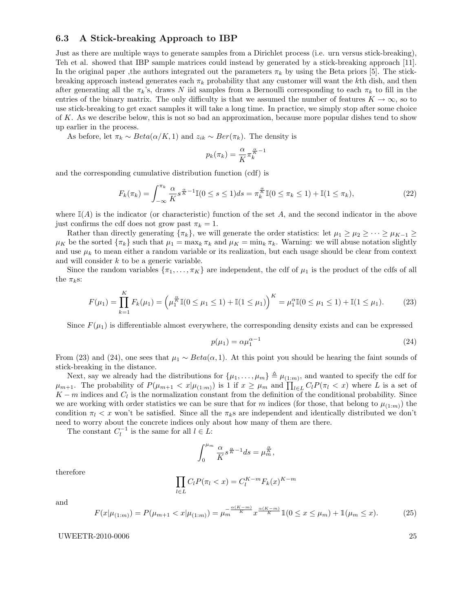### 6.3 A Stick-breaking Approach to IBP

Just as there are multiple ways to generate samples from a Dirichlet process (i.e. urn versus stick-breaking), Teh et al. showed that IBP sample matrices could instead by generated by a stick-breaking approach [11]. In the original paper ,the authors integrated out the parameters  $\pi_k$  by using the Beta priors [5]. The stickbreaking approach instead generates each  $\pi_k$  probability that any customer will want the kth dish, and then after generating all the  $\pi_k$ 's, draws N iid samples from a Bernoulli corresponding to each  $\pi_k$  to fill in the entries of the binary matrix. The only difficulty is that we assumed the number of features  $K \to \infty$ , so to use stick-breaking to get exact samples it will take a long time. In practice, we simply stop after some choice of K. As we describe below, this is not so bad an approximation, because more popular dishes tend to show up earlier in the process.

As before, let  $\pi_k \sim Beta(\alpha/K, 1)$  and  $z_{ik} \sim Ber(\pi_k)$ . The density is

$$
p_k(\pi_k) = \frac{\alpha}{K} \pi_k^{\frac{\alpha}{K} - 1}
$$

and the corresponding cumulative distribution function (cdf) is

$$
F_k(\pi_k) = \int_{-\infty}^{\pi_k} \frac{\alpha}{K} s^{\frac{\alpha}{K} - 1} \mathbb{I}(0 \le s \le 1) ds = \pi_k^{\frac{\alpha}{K}} \mathbb{I}(0 \le \pi_k \le 1) + \mathbb{I}(1 \le \pi_k),\tag{22}
$$

where  $\mathbb{I}(A)$  is the indicator (or characteristic) function of the set A, and the second indicator in the above just confirms the cdf does not grow past  $\pi_k = 1$ .

Rather than directly generating  $\{\pi_k\}$ , we will generate the order statistics: let  $\mu_1 \geq \mu_2 \geq \cdots \geq \mu_{K-1} \geq$  $\mu_K$  be the sorted  $\{\pi_k\}$  such that  $\mu_1 = \max_k \pi_k$  and  $\mu_K = \min_k \pi_k$ . Warning: we will abuse notation slightly and use  $\mu_k$  to mean either a random variable or its realization, but each usage should be clear from context and will consider k to be a generic variable.

Since the random variables  $\{\pi_1, \ldots, \pi_K\}$  are independent, the cdf of  $\mu_1$  is the product of the cdfs of all the  $\pi_k$ s:

$$
F(\mu_1) = \prod_{k=1}^{K} F_k(\mu_1) = \left(\mu_1^{\frac{\alpha}{K}} \mathbb{I}(0 \le \mu_1 \le 1) + \mathbb{I}(1 \le \mu_1)\right)^K = \mu_1^{\alpha} \mathbb{I}(0 \le \mu_1 \le 1) + \mathbb{I}(1 \le \mu_1). \tag{23}
$$

Since  $F(\mu_1)$  is differentiable almost everywhere, the corresponding density exists and can be expressed

$$
p(\mu_1) = \alpha \mu_1^{\alpha - 1} \tag{24}
$$

From (23) and (24), one sees that  $\mu_1 \sim Beta(\alpha, 1)$ . At this point you should be hearing the faint sounds of stick-breaking in the distance.

Next, say we already had the distributions for  $\{\mu_1, \ldots, \mu_m\} \triangleq \mu_{(1:m)}$ , and wanted to specify the cdf for  $\mu_{m+1}$ . The probability of  $P(\mu_{m+1} < x | \mu_{(1:m)})$  is 1 if  $x \ge \mu_m$  and  $\prod_{l \in L} C_l P(\pi_l < x)$  where L is a set of  $K - m$  indices and  $C_l$  is the normalization constant from the definition of the conditional probability. Since we are working with order statistics we can be sure that for m indices (for those, that belong to  $\mu_{(1:m)}$ ) the condition  $\pi_l < x$  won't be satisfied. Since all the  $\pi_k$ s are independent and identically distributed we don't need to worry about the concrete indices only about how many of them are there.

The constant  $C_l^{-1}$  is the same for all  $l \in L$ :

$$
\int_0^{\mu_m} \frac{\alpha}{K} s^{\frac{\alpha}{K} - 1} ds = \mu_m^{\frac{\alpha}{K}},
$$

therefore

$$
\prod_{l \in L} C_l P(\pi_l < x) = C_l^{K-m} F_k(x)^{K-m}
$$

and

$$
F(x|\mu_{(1:m)}) = P(\mu_{m+1} < x|\mu_{(1:m)}) = \mu_m^{-\frac{\alpha(K-m)}{K}} x^{\frac{\alpha(K-m)}{K}} \mathbb{1}(0 \le x \le \mu_m) + \mathbb{1}(\mu_m \le x). \tag{25}
$$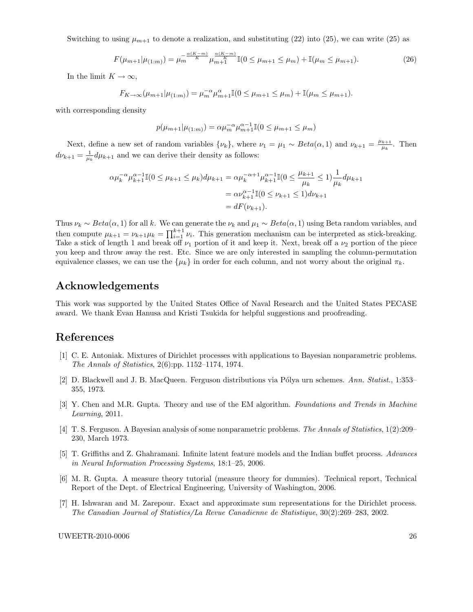Switching to using  $\mu_{m+1}$  to denote a realization, and substituting (22) into (25), we can write (25) as

$$
F(\mu_{m+1}|\mu_{(1:m)}) = \mu_m^{\frac{\alpha(K-m)}{K}} \mu_{m+1}^{\frac{\alpha(K-m)}{K}} \mathbb{I}(0 \le \mu_{m+1} \le \mu_m) + \mathbb{I}(\mu_m \le \mu_{m+1}). \tag{26}
$$

In the limit  $K \to \infty$ ,

$$
F_{K \to \infty}(\mu_{m+1}|\mu_{(1:m)}) = \mu_m^{-\alpha} \mu_{m+1}^{\alpha} \mathbb{I}(0 \le \mu_{m+1} \le \mu_m) + \mathbb{I}(\mu_m \le \mu_{m+1}).
$$

with corresponding density

$$
p(\mu_{m+1}|\mu_{(1:m)}) = \alpha \mu_m^{-\alpha} \mu_{m+1}^{\alpha-1} \mathbb{I}(0 \le \mu_{m+1} \le \mu_m)
$$

Next, define a new set of random variables  $\{\nu_k\}$ , where  $\nu_1 = \mu_1 \sim Beta(\alpha, 1)$  and  $\nu_{k+1} = \frac{\mu_{k+1}}{\mu_k}$  $\frac{k+1}{\mu_k}$ . Then  $d\nu_{k+1} = \frac{1}{\mu_k} d\mu_{k+1}$  and we can derive their density as follows:

$$
\alpha \mu_k^{-\alpha} \mu_{k+1}^{\alpha-1} \mathbb{I}(0 \le \mu_{k+1} \le \mu_k) d\mu_{k+1} = \alpha \mu_k^{-\alpha+1} \mu_{k+1}^{\alpha-1} \mathbb{I}(0 \le \frac{\mu_{k+1}}{\mu_k} \le 1) \frac{1}{\mu_k} d\mu_{k+1}
$$

$$
= \alpha \nu_{k+1}^{\alpha-1} \mathbb{I}(0 \le \nu_{k+1} \le 1) d\nu_{k+1}
$$

$$
= dF(\nu_{k+1}).
$$

Thus  $\nu_k \sim Beta(\alpha, 1)$  for all k. We can generate the  $\nu_k$  and  $\mu_1 \sim Beta(\alpha, 1)$  using Beta random variables, and then compute  $\mu_{k+1} = \nu_{k+1} \mu_k = \prod_{i=1}^{k+1} \nu_i$ . This generation mechanism can be interpreted as stick-breaking. Take a stick of length 1 and break off  $\nu_1$  portion of it and keep it. Next, break off a  $\nu_2$  portion of the piece you keep and throw away the rest. Etc. Since we are only interested in sampling the column-permutation equivalence classes, we can use the  $\{\mu_k\}$  in order for each column, and not worry about the original  $\pi_k$ .

# Acknowledgements

This work was supported by the United States Office of Naval Research and the United States PECASE award. We thank Evan Hanusa and Kristi Tsukida for helpful suggestions and proofreading.

# References

- [1] C. E. Antoniak. Mixtures of Dirichlet processes with applications to Bayesian nonparametric problems. The Annals of Statistics, 2(6):pp. 1152–1174, 1974.
- [2] D. Blackwell and J. B. MacQueen. Ferguson distributions via Pólya urn schemes. Ann. Statist., 1:353– 355, 1973.
- [3] Y. Chen and M.R. Gupta. Theory and use of the EM algorithm. Foundations and Trends in Machine Learning, 2011.
- [4] T. S. Ferguson. A Bayesian analysis of some nonparametric problems. The Annals of Statistics, 1(2):209– 230, March 1973.
- [5] T. Griffiths and Z. Ghahramani. Infinite latent feature models and the Indian buffet process. Advances in Neural Information Processing Systems, 18:1–25, 2006.
- [6] M. R. Gupta. A measure theory tutorial (measure theory for dummies). Technical report, Technical Report of the Dept. of Electrical Engineering, University of Washington, 2006.
- [7] H. Ishwaran and M. Zarepour. Exact and approximate sum representations for the Dirichlet process. The Canadian Journal of Statistics/La Revue Canadienne de Statistique, 30(2):269–283, 2002.